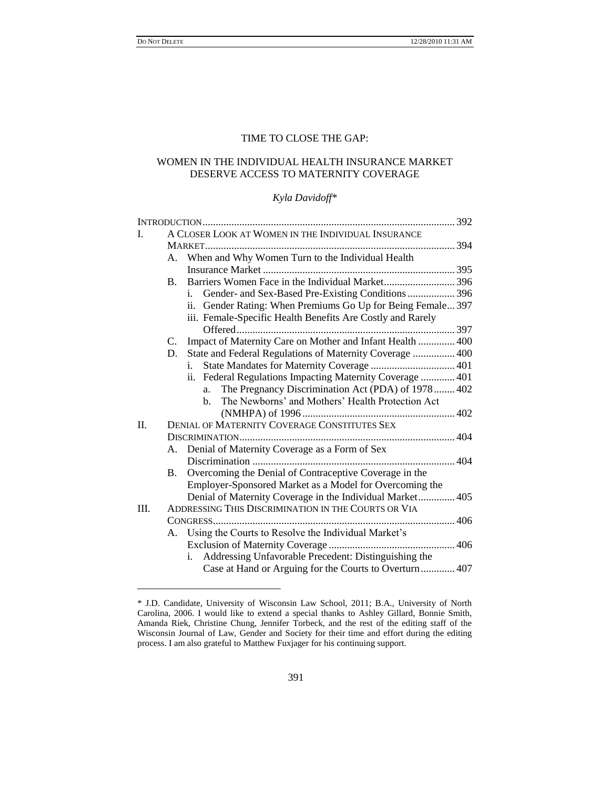l

# TIME TO CLOSE THE GAP:

# WOMEN IN THE INDIVIDUAL HEALTH INSURANCE MARKET DESERVE ACCESS TO MATERNITY COVERAGE

# *Kyla Davidoff\**

| Ι.   | A CLOSER LOOK AT WOMEN IN THE INDIVIDUAL INSURANCE  |                                                             |  |
|------|-----------------------------------------------------|-------------------------------------------------------------|--|
|      |                                                     |                                                             |  |
|      |                                                     | A. When and Why Women Turn to the Individual Health         |  |
|      |                                                     |                                                             |  |
|      | <b>B.</b>                                           | Barriers Women Face in the Individual Market396             |  |
|      |                                                     | Gender- and Sex-Based Pre-Existing Conditions  396<br>i.    |  |
|      |                                                     | ii. Gender Rating: When Premiums Go Up for Being Female 397 |  |
|      |                                                     | iii. Female-Specific Health Benefits Are Costly and Rarely  |  |
|      |                                                     |                                                             |  |
|      | C.                                                  | Impact of Maternity Care on Mother and Infant Health  400   |  |
|      | D.                                                  | State and Federal Regulations of Maternity Coverage  400    |  |
|      |                                                     | i.                                                          |  |
|      |                                                     | ii. Federal Regulations Impacting Maternity Coverage  401   |  |
|      |                                                     | The Pregnancy Discrimination Act (PDA) of 1978 402<br>a.    |  |
|      |                                                     | The Newborns' and Mothers' Health Protection Act<br>$h_{-}$ |  |
|      |                                                     |                                                             |  |
| II.  | DENIAL OF MATERNITY COVERAGE CONSTITUTES SEX        |                                                             |  |
|      |                                                     |                                                             |  |
|      |                                                     | A. Denial of Maternity Coverage as a Form of Sex            |  |
|      |                                                     |                                                             |  |
|      | <b>B.</b>                                           | Overcoming the Denial of Contraceptive Coverage in the      |  |
|      |                                                     | Employer-Sponsored Market as a Model for Overcoming the     |  |
|      |                                                     | Denial of Maternity Coverage in the Individual Market 405   |  |
| III. | ADDRESSING THIS DISCRIMINATION IN THE COURTS OR VIA |                                                             |  |
|      |                                                     |                                                             |  |
|      |                                                     | A. Using the Courts to Resolve the Individual Market's      |  |
|      |                                                     |                                                             |  |
|      |                                                     | i. Addressing Unfavorable Precedent: Distinguishing the     |  |
|      |                                                     | Case at Hand or Arguing for the Courts to Overturn 407      |  |

<sup>\*</sup> J.D. Candidate, University of Wisconsin Law School, 2011; B.A., University of North Carolina, 2006. I would like to extend a special thanks to Ashley Gillard, Bonnie Smith, Amanda Riek, Christine Chung, Jennifer Torbeck, and the rest of the editing staff of the Wisconsin Journal of Law, Gender and Society for their time and effort during the editing process. I am also grateful to Matthew Fuxjager for his continuing support.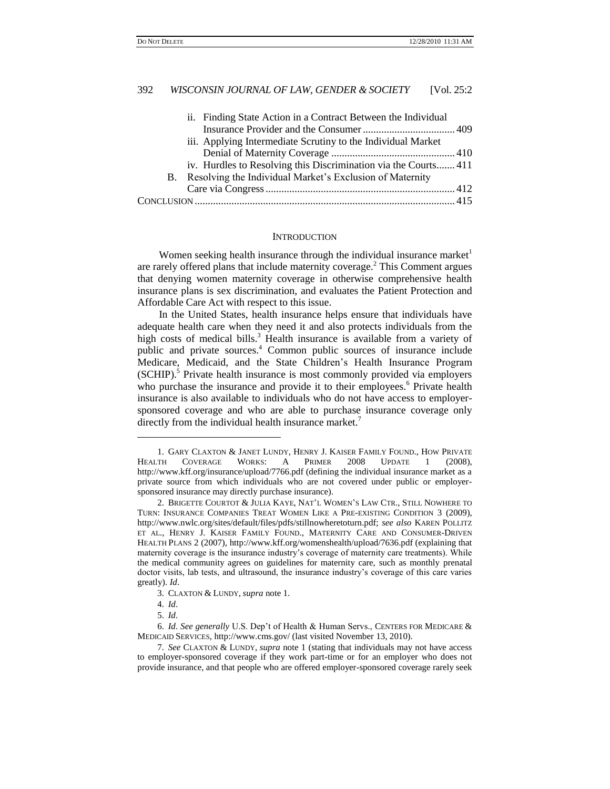| ii. Finding State Action in a Contract Between the Individual   |  |
|-----------------------------------------------------------------|--|
|                                                                 |  |
| iii. Applying Intermediate Scrutiny to the Individual Market    |  |
|                                                                 |  |
| iv. Hurdles to Resolving this Discrimination via the Courts 411 |  |
| B. Resolving the Individual Market's Exclusion of Maternity     |  |
|                                                                 |  |
|                                                                 |  |

#### **INTRODUCTION**

Women seeking health insurance through the individual insurance market are rarely offered plans that include maternity coverage.<sup>2</sup> This Comment argues that denying women maternity coverage in otherwise comprehensive health insurance plans is sex discrimination, and evaluates the Patient Protection and Affordable Care Act with respect to this issue.

In the United States, health insurance helps ensure that individuals have adequate health care when they need it and also protects individuals from the high costs of medical bills.<sup>3</sup> Health insurance is available from a variety of public and private sources.<sup>4</sup> Common public sources of insurance include Medicare, Medicaid, and the State Children"s Health Insurance Program (SCHIP).<sup>5</sup> Private health insurance is most commonly provided via employers who purchase the insurance and provide it to their employees.<sup>6</sup> Private health insurance is also available to individuals who do not have access to employersponsored coverage and who are able to purchase insurance coverage only directly from the individual health insurance market.<sup>7</sup>

<sup>1.</sup> GARY CLAXTON & JANET LUNDY, HENRY J. KAISER FAMILY FOUND., HOW PRIVATE HEALTH COVERAGE WORKS: A PRIMER 2008 UPDATE 1 (2008), http://www.kff.org/insurance/upload/7766.pdf (defining the individual insurance market as a private source from which individuals who are not covered under public or employersponsored insurance may directly purchase insurance).

<sup>2.</sup> BRIGETTE COURTOT & JULIA KAYE, NAT"L WOMEN"S LAW CTR., STILL NOWHERE TO TURN: INSURANCE COMPANIES TREAT WOMEN LIKE A PRE-EXISTING CONDITION 3 (2009), http://www.nwlc.org/sites/default/files/pdfs/stillnowheretoturn.pdf; *see also* KAREN POLLITZ ET AL., HENRY J. KAISER FAMILY FOUND., MATERNITY CARE AND CONSUMER-DRIVEN HEALTH PLANS 2 (2007), http://www.kff.org/womenshealth/upload/7636.pdf (explaining that maternity coverage is the insurance industry"s coverage of maternity care treatments). While the medical community agrees on guidelines for maternity care, such as monthly prenatal doctor visits, lab tests, and ultrasound, the insurance industry"s coverage of this care varies greatly). *Id*.

<sup>3.</sup> CLAXTON & LUNDY, *supra* note 1.

<sup>4.</sup> *Id*.

<sup>5.</sup> *Id*.

<sup>6.</sup> *Id*. *See generally* U.S. Dep"t of Health & Human Servs., CENTERS FOR MEDICARE & MEDICAID SERVICES, http://www.cms.gov/ (last visited November 13, 2010).

<sup>7.</sup> *See* CLAXTON & LUNDY, *supra* note 1 (stating that individuals may not have access to employer-sponsored coverage if they work part-time or for an employer who does not provide insurance, and that people who are offered employer-sponsored coverage rarely seek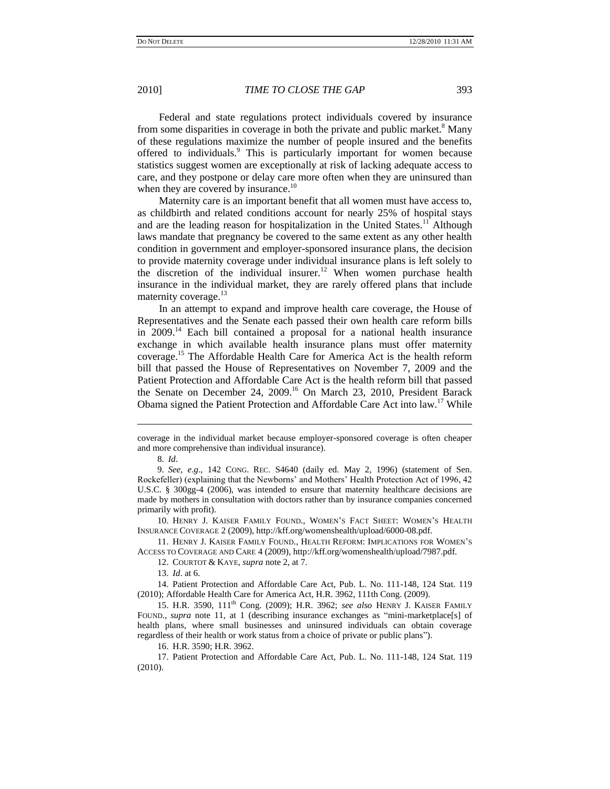Federal and state regulations protect individuals covered by insurance from some disparities in coverage in both the private and public market.<sup>8</sup> Many of these regulations maximize the number of people insured and the benefits offered to individuals.<sup>9</sup> This is particularly important for women because statistics suggest women are exceptionally at risk of lacking adequate access to care, and they postpone or delay care more often when they are uninsured than when they are covered by insurance.<sup>10</sup>

Maternity care is an important benefit that all women must have access to, as childbirth and related conditions account for nearly 25% of hospital stays and are the leading reason for hospitalization in the United States.<sup>11</sup> Although laws mandate that pregnancy be covered to the same extent as any other health condition in government and employer-sponsored insurance plans, the decision to provide maternity coverage under individual insurance plans is left solely to the discretion of the individual insurer.<sup>12</sup> When women purchase health insurance in the individual market, they are rarely offered plans that include maternity coverage. $13$ 

In an attempt to expand and improve health care coverage, the House of Representatives and the Senate each passed their own health care reform bills in  $2009$ <sup>14</sup> Each bill contained a proposal for a national health insurance exchange in which available health insurance plans must offer maternity coverage.<sup>15</sup> The Affordable Health Care for America Act is the health reform bill that passed the House of Representatives on November 7, 2009 and the Patient Protection and Affordable Care Act is the health reform bill that passed the Senate on December 24, 2009.<sup>16</sup> On March 23, 2010, President Barack Obama signed the Patient Protection and Affordable Care Act into law.<sup>17</sup> While

 $\overline{\phantom{a}}$ 

10. HENRY J. KAISER FAMILY FOUND., WOMEN"S FACT SHEET: WOMEN"S HEALTH INSURANCE COVERAGE 2 (2009), http://kff.org/womenshealth/upload/6000-08.pdf.

11. HENRY J. KAISER FAMILY FOUND., HEALTH REFORM: IMPLICATIONS FOR WOMEN"S ACCESS TO COVERAGE AND CARE 4 (2009), http://kff.org/womenshealth/upload/7987.pdf.

12. COURTOT & KAYE, *supra* note 2, at 7.

13. *Id*. at 6.

14. Patient Protection and Affordable Care Act, Pub. L. No. 111-148, 124 Stat. 119 (2010); Affordable Health Care for America Act, H.R. 3962, 111th Cong. (2009).

15. H.R. 3590, 111th Cong. (2009); H.R. 3962; *see also* HENRY J. KAISER FAMILY FOUND., *supra* note 11, at 1 (describing insurance exchanges as "mini-marketplace[s] of health plans, where small businesses and uninsured individuals can obtain coverage regardless of their health or work status from a choice of private or public plans").

16. H.R. 3590; H.R. 3962.

17. Patient Protection and Affordable Care Act, Pub. L. No. 111-148, 124 Stat. 119 (2010).

coverage in the individual market because employer-sponsored coverage is often cheaper and more comprehensive than individual insurance).

<sup>8.</sup> *Id*.

<sup>9.</sup> *See, e*.*g*., 142 CONG. REC. S4640 (daily ed. May 2, 1996) (statement of Sen. Rockefeller) (explaining that the Newborns" and Mothers" Health Protection Act of 1996, 42 U.S.C. § 300gg-4 (2006), was intended to ensure that maternity healthcare decisions are made by mothers in consultation with doctors rather than by insurance companies concerned primarily with profit).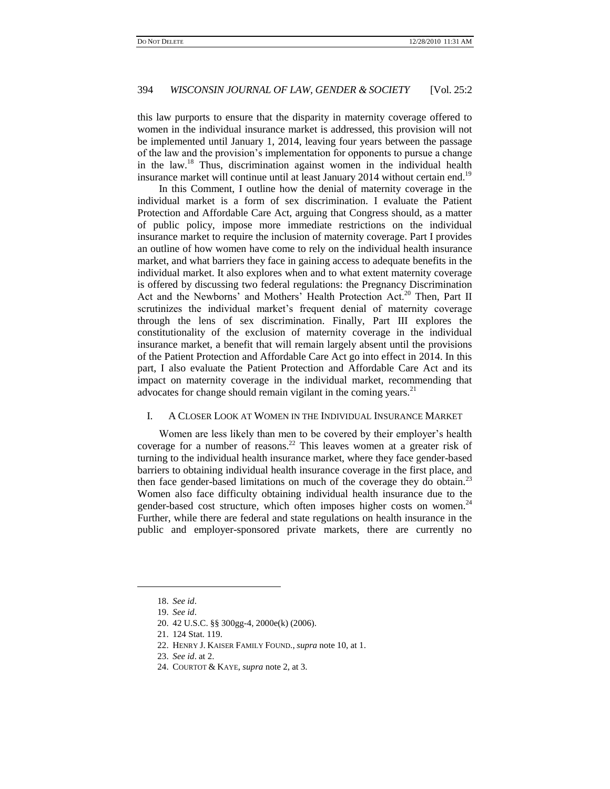this law purports to ensure that the disparity in maternity coverage offered to women in the individual insurance market is addressed, this provision will not be implemented until January 1, 2014, leaving four years between the passage of the law and the provision"s implementation for opponents to pursue a change in the law.<sup>18</sup> Thus, discrimination against women in the individual health insurance market will continue until at least January 2014 without certain end.<sup>19</sup>

In this Comment, I outline how the denial of maternity coverage in the individual market is a form of sex discrimination. I evaluate the Patient Protection and Affordable Care Act, arguing that Congress should, as a matter of public policy, impose more immediate restrictions on the individual insurance market to require the inclusion of maternity coverage. Part I provides an outline of how women have come to rely on the individual health insurance market, and what barriers they face in gaining access to adequate benefits in the individual market. It also explores when and to what extent maternity coverage is offered by discussing two federal regulations: the Pregnancy Discrimination Act and the Newborns' and Mothers' Health Protection Act.<sup>20</sup> Then, Part II scrutinizes the individual market's frequent denial of maternity coverage through the lens of sex discrimination. Finally, Part III explores the constitutionality of the exclusion of maternity coverage in the individual insurance market, a benefit that will remain largely absent until the provisions of the Patient Protection and Affordable Care Act go into effect in 2014. In this part, I also evaluate the Patient Protection and Affordable Care Act and its impact on maternity coverage in the individual market, recommending that advocates for change should remain vigilant in the coming years.  $2<sup>1</sup>$ 

## I. A CLOSER LOOK AT WOMEN IN THE INDIVIDUAL INSURANCE MARKET

Women are less likely than men to be covered by their employer's health coverage for a number of reasons.<sup>22</sup> This leaves women at a greater risk of turning to the individual health insurance market, where they face gender-based barriers to obtaining individual health insurance coverage in the first place, and then face gender-based limitations on much of the coverage they do obtain.<sup>23</sup> Women also face difficulty obtaining individual health insurance due to the gender-based cost structure, which often imposes higher costs on women. $^{24}$ Further, while there are federal and state regulations on health insurance in the public and employer-sponsored private markets, there are currently no

l

<sup>18.</sup> *See id*.

<sup>19.</sup> *See id*.

<sup>20.</sup> 42 U.S.C. §§ 300gg-4, 2000e(k) (2006).

<sup>21.</sup> 124 Stat. 119.

<sup>22.</sup> HENRY J. KAISER FAMILY FOUND., *supra* note 10, at 1.

<sup>23.</sup> *See id*. at 2.

<sup>24.</sup> COURTOT & KAYE, *supra* note 2, at 3.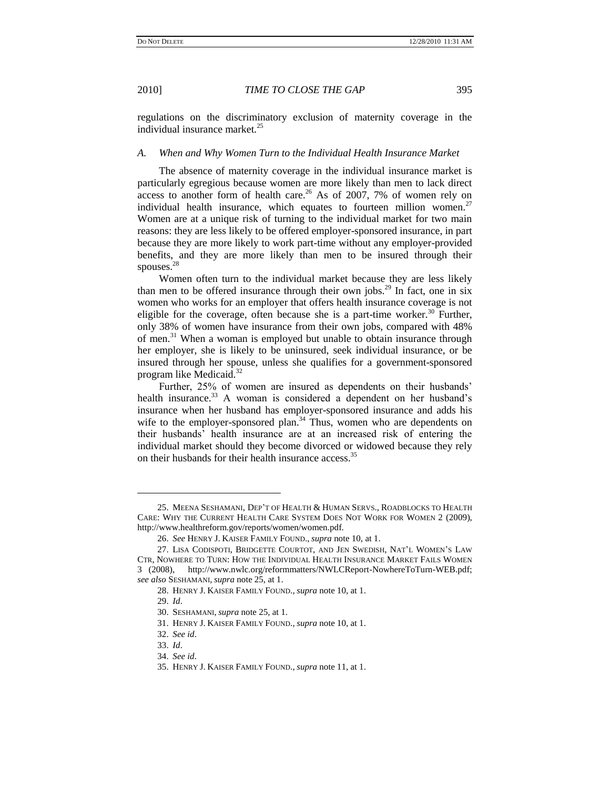regulations on the discriminatory exclusion of maternity coverage in the individual insurance market.<sup>25</sup>

## *A. When and Why Women Turn to the Individual Health Insurance Market*

The absence of maternity coverage in the individual insurance market is particularly egregious because women are more likely than men to lack direct access to another form of health care.<sup>26</sup> As of 2007, 7% of women rely on individual health insurance, which equates to fourteen million women.<sup>27</sup> Women are at a unique risk of turning to the individual market for two main reasons: they are less likely to be offered employer-sponsored insurance, in part because they are more likely to work part-time without any employer-provided benefits, and they are more likely than men to be insured through their spouses.<sup>28</sup>

Women often turn to the individual market because they are less likely than men to be offered insurance through their own jobs.<sup>29</sup> In fact, one in six women who works for an employer that offers health insurance coverage is not eligible for the coverage, often because she is a part-time worker.<sup>30</sup> Further, only 38% of women have insurance from their own jobs, compared with 48% of men.<sup>31</sup> When a woman is employed but unable to obtain insurance through her employer, she is likely to be uninsured, seek individual insurance, or be insured through her spouse, unless she qualifies for a government-sponsored program like Medicaid.<sup>32</sup>

Further, 25% of women are insured as dependents on their husbands' health insurance.<sup>33</sup> A woman is considered a dependent on her husband's insurance when her husband has employer-sponsored insurance and adds his wife to the employer-sponsored plan. $34$  Thus, women who are dependents on their husbands" health insurance are at an increased risk of entering the individual market should they become divorced or widowed because they rely on their husbands for their health insurance access.<sup>35</sup>

<sup>25.</sup> MEENA SESHAMANI, DEP"T OF HEALTH & HUMAN SERVS., ROADBLOCKS TO HEALTH CARE: WHY THE CURRENT HEALTH CARE SYSTEM DOES NOT WORK FOR WOMEN 2 (2009), http://www.healthreform.gov/reports/women/women.pdf.

<sup>26.</sup> *See* HENRY J. KAISER FAMILY FOUND., *supra* note 10, at 1.

<sup>27.</sup> LISA CODISPOTI, BRIDGETTE COURTOT, AND JEN SWEDISH, NAT"L WOMEN"S LAW CTR, NOWHERE TO TURN: HOW THE INDIVIDUAL HEALTH INSURANCE MARKET FAILS WOMEN 3 (2008), http://www.nwlc.org/reformmatters/NWLCReport-NowhereToTurn-WEB.pdf; *see also* SESHAMANI, *supra* note 25, at 1.

<sup>28.</sup> HENRY J. KAISER FAMILY FOUND., *supra* note 10, at 1.

<sup>29.</sup> *Id*.

<sup>30.</sup> SESHAMANI, *supra* note 25, at 1.

<sup>31.</sup> HENRY J. KAISER FAMILY FOUND., *supra* note 10, at 1.

<sup>32.</sup> *See id*.

<sup>33.</sup> *Id*.

<sup>34.</sup> *See id*.

<sup>35.</sup> HENRY J. KAISER FAMILY FOUND., *supra* note 11, at 1.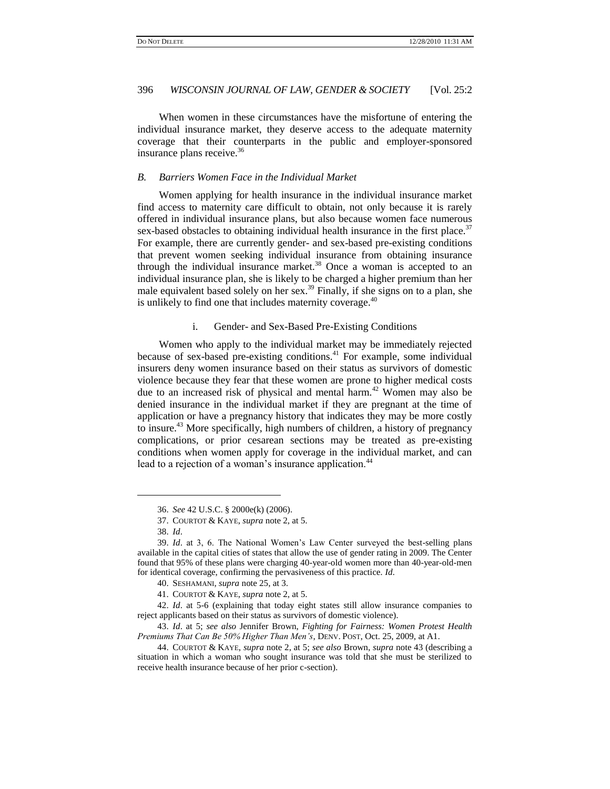When women in these circumstances have the misfortune of entering the individual insurance market, they deserve access to the adequate maternity coverage that their counterparts in the public and employer-sponsored insurance plans receive.<sup>36</sup>

# *B. Barriers Women Face in the Individual Market*

Women applying for health insurance in the individual insurance market find access to maternity care difficult to obtain, not only because it is rarely offered in individual insurance plans, but also because women face numerous sex-based obstacles to obtaining individual health insurance in the first place.<sup>37</sup> For example, there are currently gender- and sex-based pre-existing conditions that prevent women seeking individual insurance from obtaining insurance through the individual insurance market.<sup>38</sup> Once a woman is accepted to an individual insurance plan, she is likely to be charged a higher premium than her male equivalent based solely on her sex.<sup>39</sup> Finally, if she signs on to a plan, she is unlikely to find one that includes maternity coverage.<sup>40</sup>

#### i. Gender- and Sex-Based Pre-Existing Conditions

Women who apply to the individual market may be immediately rejected because of sex-based pre-existing conditions.<sup>41</sup> For example, some individual insurers deny women insurance based on their status as survivors of domestic violence because they fear that these women are prone to higher medical costs due to an increased risk of physical and mental harm.<sup>42</sup> Women may also be denied insurance in the individual market if they are pregnant at the time of application or have a pregnancy history that indicates they may be more costly to insure.<sup>43</sup> More specifically, high numbers of children, a history of pregnancy complications, or prior cesarean sections may be treated as pre-existing conditions when women apply for coverage in the individual market, and can lead to a rejection of a woman's insurance application.<sup>44</sup>

<sup>36.</sup> *See* 42 U.S.C. § 2000e(k) (2006).

<sup>37.</sup> COURTOT & KAYE, *supra* note 2, at 5.

<sup>38.</sup> *Id*.

<sup>39.</sup> *Id*. at 3, 6. The National Women"s Law Center surveyed the best-selling plans available in the capital cities of states that allow the use of gender rating in 2009. The Center found that 95% of these plans were charging 40-year-old women more than 40-year-old-men for identical coverage, confirming the pervasiveness of this practice. *Id*.

<sup>40.</sup> SESHAMANI, *supra* note 25, at 3.

<sup>41.</sup> COURTOT & KAYE, *supra* note 2, at 5.

<sup>42.</sup> *Id*. at 5-6 (explaining that today eight states still allow insurance companies to reject applicants based on their status as survivors of domestic violence).

<sup>43.</sup> *Id*. at 5; *see also* Jennifer Brown, *Fighting for Fairness: Women Protest Health Premiums That Can Be 50% Higher Than Men"s*, DENV. POST, Oct. 25, 2009, at A1.

<sup>44.</sup> COURTOT & KAYE, *supra* note 2, at 5; *see also* Brown, *supra* note 43 (describing a situation in which a woman who sought insurance was told that she must be sterilized to receive health insurance because of her prior c-section).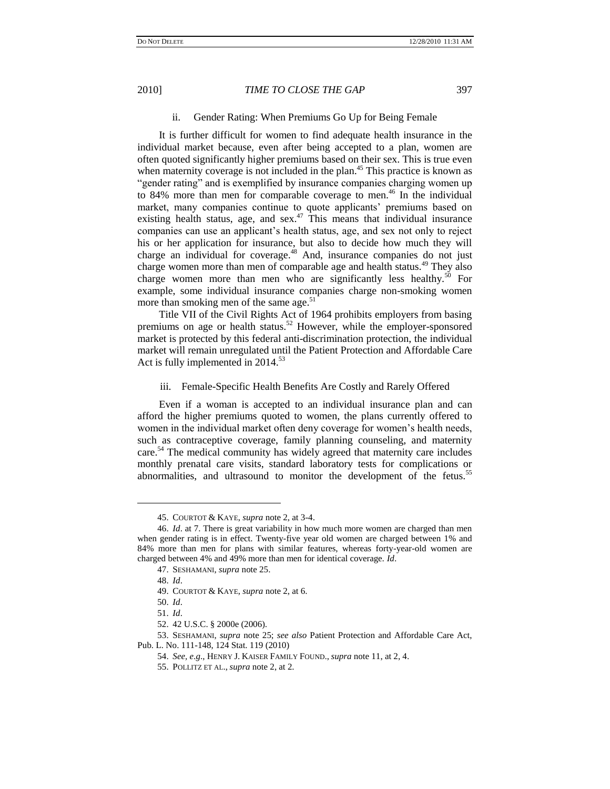## ii. Gender Rating: When Premiums Go Up for Being Female

It is further difficult for women to find adequate health insurance in the individual market because, even after being accepted to a plan, women are often quoted significantly higher premiums based on their sex. This is true even when maternity coverage is not included in the plan.<sup>45</sup> This practice is known as "gender rating" and is exemplified by insurance companies charging women up to 84% more than men for comparable coverage to men.<sup>46</sup> In the individual market, many companies continue to quote applicants' premiums based on existing health status, age, and  $sex<sup>47</sup>$ . This means that individual insurance companies can use an applicant"s health status, age, and sex not only to reject his or her application for insurance, but also to decide how much they will charge an individual for coverage.<sup>48</sup> And, insurance companies do not just charge women more than men of comparable age and health status.<sup>49</sup> They also charge women more than men who are significantly less healthy.<sup>50</sup> For example, some individual insurance companies charge non-smoking women more than smoking men of the same age.<sup>51</sup>

Title VII of the Civil Rights Act of 1964 prohibits employers from basing premiums on age or health status.<sup>52</sup> However, while the employer-sponsored market is protected by this federal anti-discrimination protection, the individual market will remain unregulated until the Patient Protection and Affordable Care Act is fully implemented in 2014.<sup>53</sup>

## iii. Female-Specific Health Benefits Are Costly and Rarely Offered

Even if a woman is accepted to an individual insurance plan and can afford the higher premiums quoted to women, the plans currently offered to women in the individual market often deny coverage for women"s health needs, such as contraceptive coverage, family planning counseling, and maternity care.<sup>54</sup> The medical community has widely agreed that maternity care includes monthly prenatal care visits, standard laboratory tests for complications or abnormalities, and ultrasound to monitor the development of the fetus.<sup>55</sup>

<sup>45.</sup> COURTOT & KAYE, *supra* note 2, at 3-4.

<sup>46.</sup> *Id*. at 7. There is great variability in how much more women are charged than men when gender rating is in effect. Twenty-five year old women are charged between 1% and 84% more than men for plans with similar features, whereas forty-year-old women are charged between 4% and 49% more than men for identical coverage. *Id*.

<sup>47.</sup> SESHAMANI, *supra* note 25.

<sup>48.</sup> *Id*.

<sup>49.</sup> COURTOT & KAYE, *supra* note 2, at 6.

<sup>50.</sup> *Id*.

<sup>51.</sup> *Id*.

<sup>52.</sup> 42 U.S.C. § 2000e (2006).

<sup>53.</sup> SESHAMANI, *supra* note 25; *see also* Patient Protection and Affordable Care Act, Pub. L. No. 111-148, 124 Stat. 119 (2010)

<sup>54.</sup> *See, e*.*g*., HENRY J. KAISER FAMILY FOUND., *supra* note 11, at 2, 4.

<sup>55.</sup> POLLITZ ET AL., *supra* note 2, at 2.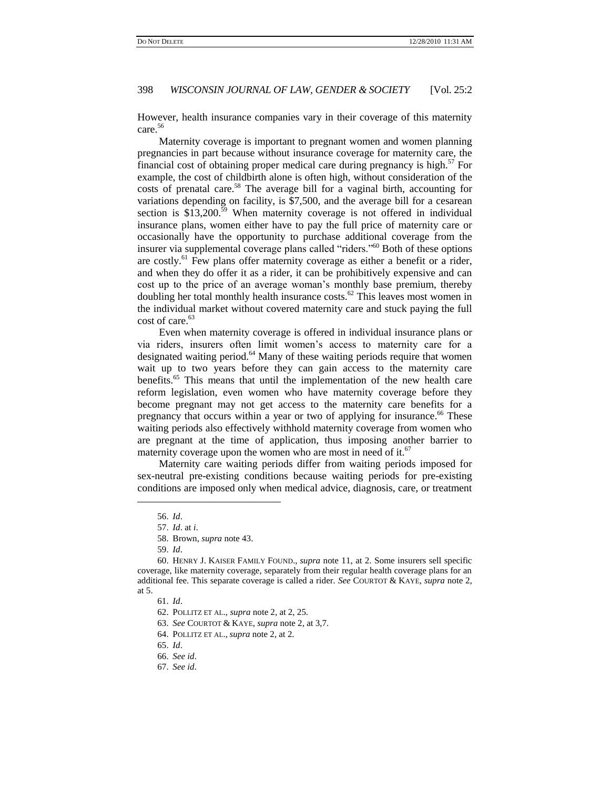However, health insurance companies vary in their coverage of this maternity care.<sup>56</sup>

Maternity coverage is important to pregnant women and women planning pregnancies in part because without insurance coverage for maternity care, the financial cost of obtaining proper medical care during pregnancy is high.<sup>57</sup> For example, the cost of childbirth alone is often high, without consideration of the costs of prenatal care.<sup>58</sup> The average bill for a vaginal birth, accounting for variations depending on facility, is \$7,500, and the average bill for a cesarean section is  $$13,200.<sup>59</sup>$  When maternity coverage is not offered in individual insurance plans, women either have to pay the full price of maternity care or occasionally have the opportunity to purchase additional coverage from the insurer via supplemental coverage plans called "riders."<sup>60</sup> Both of these options are costly.<sup>61</sup> Few plans offer maternity coverage as either a benefit or a rider, and when they do offer it as a rider, it can be prohibitively expensive and can cost up to the price of an average woman"s monthly base premium, thereby doubling her total monthly health insurance costs.<sup>62</sup> This leaves most women in the individual market without covered maternity care and stuck paying the full cost of care.<sup>63</sup>

Even when maternity coverage is offered in individual insurance plans or via riders, insurers often limit women"s access to maternity care for a designated waiting period.<sup>64</sup> Many of these waiting periods require that women wait up to two years before they can gain access to the maternity care benefits.<sup>65</sup> This means that until the implementation of the new health care reform legislation, even women who have maternity coverage before they become pregnant may not get access to the maternity care benefits for a pregnancy that occurs within a year or two of applying for insurance.<sup>66</sup> These waiting periods also effectively withhold maternity coverage from women who are pregnant at the time of application, thus imposing another barrier to maternity coverage upon the women who are most in need of it.<sup>67</sup>

Maternity care waiting periods differ from waiting periods imposed for sex-neutral pre-existing conditions because waiting periods for pre-existing conditions are imposed only when medical advice, diagnosis, care, or treatment

 $\overline{\phantom{a}}$ 

59. *Id*.

<sup>56.</sup> *Id*.

<sup>57.</sup> *Id*. at *i*.

<sup>58.</sup> Brown, *supra* note 43.

<sup>60.</sup> HENRY J. KAISER FAMILY FOUND., *supra* note 11, at 2. Some insurers sell specific coverage, like maternity coverage, separately from their regular health coverage plans for an additional fee. This separate coverage is called a rider. *See* COURTOT & KAYE, *supra* note 2, at 5.

<sup>61.</sup> *Id*.

<sup>62.</sup> POLLITZ ET AL., *supra* note 2, at 2, 25.

<sup>63.</sup> *See* COURTOT & KAYE, *supra* note 2, at 3,7.

<sup>64.</sup> POLLITZ ET AL., *supra* note 2, at 2.

<sup>65.</sup> *Id*.

<sup>66.</sup> *See id*.

<sup>67.</sup> *See id*.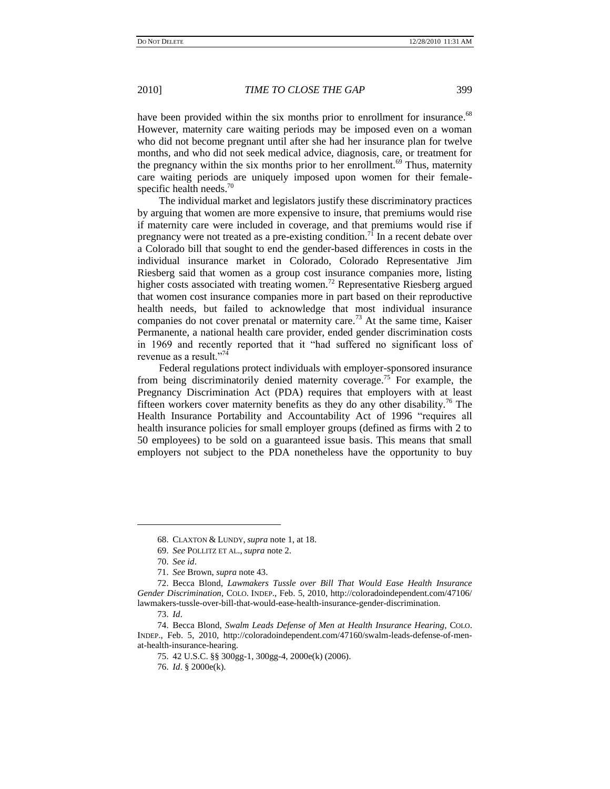have been provided within the six months prior to enrollment for insurance.<sup>68</sup> However, maternity care waiting periods may be imposed even on a woman who did not become pregnant until after she had her insurance plan for twelve months, and who did not seek medical advice, diagnosis, care, or treatment for the pregnancy within the six months prior to her enrollment.<sup>69</sup> Thus, maternity care waiting periods are uniquely imposed upon women for their femalespecific health needs. $70$ 

The individual market and legislators justify these discriminatory practices by arguing that women are more expensive to insure, that premiums would rise if maternity care were included in coverage, and that premiums would rise if pregnancy were not treated as a pre-existing condition.<sup>71</sup> In a recent debate over a Colorado bill that sought to end the gender-based differences in costs in the individual insurance market in Colorado, Colorado Representative Jim Riesberg said that women as a group cost insurance companies more, listing higher costs associated with treating women.<sup>72</sup> Representative Riesberg argued that women cost insurance companies more in part based on their reproductive health needs, but failed to acknowledge that most individual insurance companies do not cover prenatal or maternity care.<sup>73</sup> At the same time, Kaiser Permanente, a national health care provider, ended gender discrimination costs in 1969 and recently reported that it "had suffered no significant loss of revenue as a result."74

Federal regulations protect individuals with employer-sponsored insurance from being discriminatorily denied maternity coverage.<sup>75</sup> For example, the Pregnancy Discrimination Act (PDA) requires that employers with at least fifteen workers cover maternity benefits as they do any other disability.<sup>76</sup> The Health Insurance Portability and Accountability Act of 1996 "requires all health insurance policies for small employer groups (defined as firms with 2 to 50 employees) to be sold on a guaranteed issue basis. This means that small employers not subject to the PDA nonetheless have the opportunity to buy

<sup>68.</sup> CLAXTON & LUNDY, *supra* note 1, at 18.

<sup>69.</sup> *See* POLLITZ ET AL., *supra* note 2.

<sup>70.</sup> *See id*.

<sup>71.</sup> *See* Brown, *supra* note 43.

<sup>72.</sup> Becca Blond, *Lawmakers Tussle over Bill That Would Ease Health Insurance Gender Discrimination*, COLO. INDEP., Feb. 5, 2010, http://coloradoindependent.com/47106/ lawmakers-tussle-over-bill-that-would-ease-health-insurance-gender-discrimination.

<sup>73.</sup> *Id*.

<sup>74.</sup> Becca Blond, *Swalm Leads Defense of Men at Health Insurance Hearing*, COLO. INDEP., Feb. 5, 2010, http://coloradoindependent.com/47160/swalm-leads-defense-of-menat-health-insurance-hearing.

<sup>75.</sup> 42 U.S.C. §§ 300gg-1, 300gg-4, 2000e(k) (2006).

<sup>76.</sup> *Id*. § 2000e(k).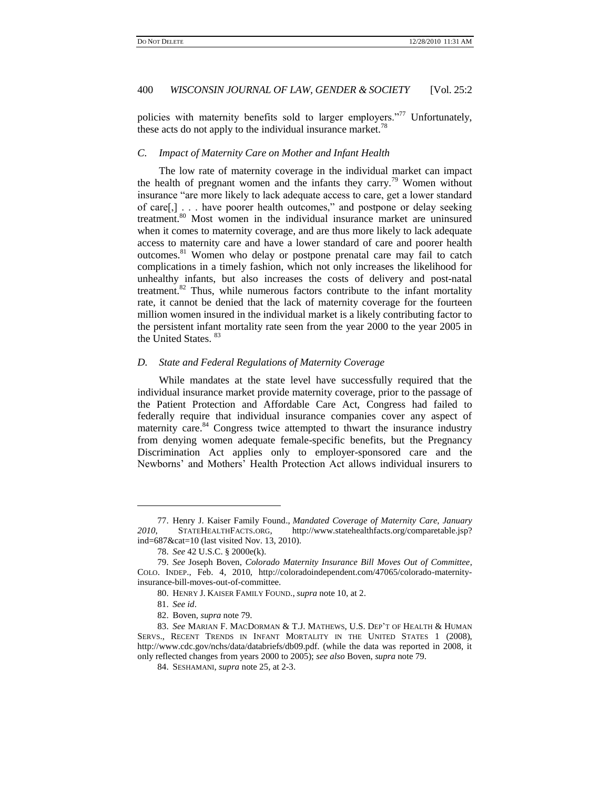policies with maternity benefits sold to larger employers."<sup>77</sup> Unfortunately, these acts do not apply to the individual insurance market.<sup>78</sup>

# *C. Impact of Maternity Care on Mother and Infant Health*

The low rate of maternity coverage in the individual market can impact the health of pregnant women and the infants they carry.<sup>79</sup> Women without insurance "are more likely to lack adequate access to care, get a lower standard of care[,] . . . have poorer health outcomes," and postpone or delay seeking treatment.<sup>80</sup> Most women in the individual insurance market are uninsured when it comes to maternity coverage, and are thus more likely to lack adequate access to maternity care and have a lower standard of care and poorer health outcomes.<sup>81</sup> Women who delay or postpone prenatal care may fail to catch complications in a timely fashion, which not only increases the likelihood for unhealthy infants, but also increases the costs of delivery and post-natal treatment. $82$  Thus, while numerous factors contribute to the infant mortality rate, it cannot be denied that the lack of maternity coverage for the fourteen million women insured in the individual market is a likely contributing factor to the persistent infant mortality rate seen from the year 2000 to the year 2005 in the United States. <sup>83</sup>

#### *D. State and Federal Regulations of Maternity Coverage*

While mandates at the state level have successfully required that the individual insurance market provide maternity coverage, prior to the passage of the Patient Protection and Affordable Care Act, Congress had failed to federally require that individual insurance companies cover any aspect of maternity care.<sup>84</sup> Congress twice attempted to thwart the insurance industry from denying women adequate female-specific benefits, but the Pregnancy Discrimination Act applies only to employer-sponsored care and the Newborns" and Mothers" Health Protection Act allows individual insurers to

<sup>77.</sup> Henry J. Kaiser Family Found., *Mandated Coverage of Maternity Care, January 2010*, STATEHEALTHFACTS.ORG, http://www.statehealthfacts.org/comparetable.jsp? ind=687&cat=10 (last visited Nov. 13, 2010).

<sup>78.</sup> *See* 42 U.S.C. § 2000e(k).

<sup>79.</sup> *See* Joseph Boven, *Colorado Maternity Insurance Bill Moves Out of Committee*, COLO. INDEP., Feb. 4, 2010, http://coloradoindependent.com/47065/colorado-maternityinsurance-bill-moves-out-of-committee.

<sup>80.</sup> HENRY J. KAISER FAMILY FOUND., *supra* note 10, at 2.

<sup>81.</sup> *See id*.

<sup>82.</sup> Boven, *supra* note 79.

<sup>83.</sup> *See* MARIAN F. MACDORMAN & T.J. MATHEWS, U.S. DEP"T OF HEALTH & HUMAN SERVS., RECENT TRENDS IN INFANT MORTALITY IN THE UNITED STATES 1 (2008), http://www.cdc.gov/nchs/data/databriefs/db09.pdf. (while the data was reported in 2008, it only reflected changes from years 2000 to 2005); *see also* Boven, *supra* note 79.

<sup>84.</sup> SESHAMANI, *supra* note 25, at 2-3.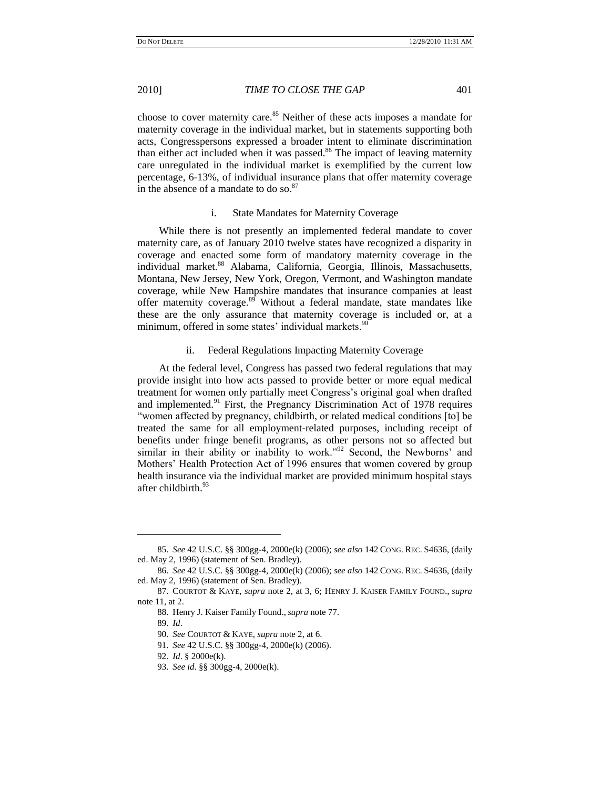choose to cover maternity care.<sup>85</sup> Neither of these acts imposes a mandate for maternity coverage in the individual market, but in statements supporting both acts, Congresspersons expressed a broader intent to eliminate discrimination than either act included when it was passed.<sup>86</sup> The impact of leaving maternity care unregulated in the individual market is exemplified by the current low percentage, 6-13%, of individual insurance plans that offer maternity coverage in the absence of a mandate to do so.<sup>87</sup>

# i. State Mandates for Maternity Coverage

While there is not presently an implemented federal mandate to cover maternity care, as of January 2010 twelve states have recognized a disparity in coverage and enacted some form of mandatory maternity coverage in the individual market.<sup>88</sup> Alabama, California, Georgia, Illinois, Massachusetts, Montana, New Jersey, New York, Oregon, Vermont, and Washington mandate coverage, while New Hampshire mandates that insurance companies at least offer maternity coverage.<sup>89</sup> Without a federal mandate, state mandates like these are the only assurance that maternity coverage is included or, at a minimum, offered in some states' individual markets.<sup>90</sup>

# ii. Federal Regulations Impacting Maternity Coverage

At the federal level, Congress has passed two federal regulations that may provide insight into how acts passed to provide better or more equal medical treatment for women only partially meet Congress"s original goal when drafted and implemented. $91$  First, the Pregnancy Discrimination Act of 1978 requires "women affected by pregnancy, childbirth, or related medical conditions [to] be treated the same for all employment-related purposes, including receipt of benefits under fringe benefit programs, as other persons not so affected but similar in their ability or inability to work."<sup>92</sup> Second, the Newborns' and Mothers" Health Protection Act of 1996 ensures that women covered by group health insurance via the individual market are provided minimum hospital stays after childbirth.<sup>93</sup>

<sup>85.</sup> *See* 42 U.S.C. §§ 300gg-4, 2000e(k) (2006); *see also* 142 CONG. REC. S4636, (daily ed. May 2, 1996) (statement of Sen. Bradley).

<sup>86.</sup> *See* 42 U.S.C. §§ 300gg-4, 2000e(k) (2006); *see also* 142 CONG. REC. S4636, (daily ed. May 2, 1996) (statement of Sen. Bradley).

<sup>87.</sup> COURTOT & KAYE, *supra* note 2, at 3, 6; HENRY J. KAISER FAMILY FOUND., *supra* note 11, at 2.

<sup>88.</sup> Henry J. Kaiser Family Found.,*supra* note 77.

<sup>89.</sup> *Id*.

<sup>90.</sup> *See* COURTOT & KAYE, *supra* note 2, at 6.

<sup>91.</sup> *See* 42 U.S.C. §§ 300gg-4, 2000e(k) (2006).

<sup>92.</sup> *Id*. § 2000e(k).

<sup>93.</sup> *See id*. §§ 300gg-4, 2000e(k).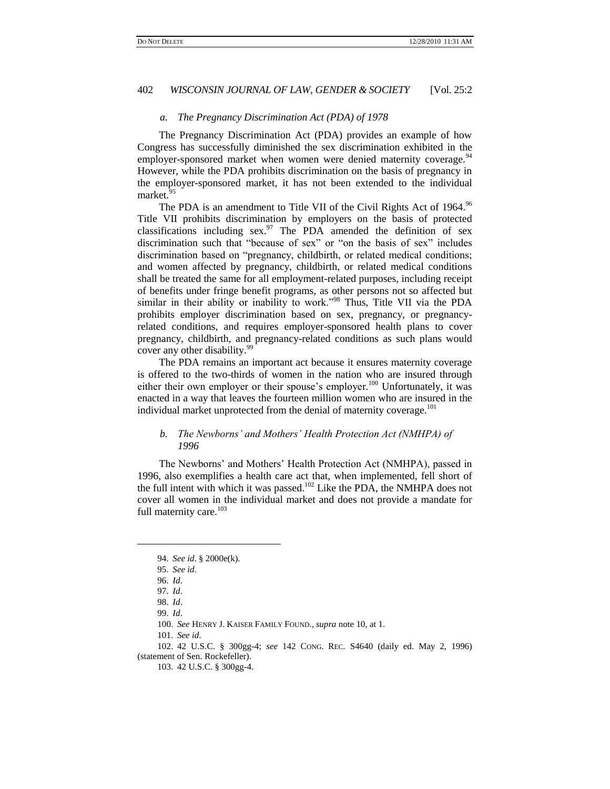#### *a. The Pregnancy Discrimination Act (PDA) of 1978*

The Pregnancy Discrimination Act (PDA) provides an example of how Congress has successfully diminished the sex discrimination exhibited in the employer-sponsored market when women were denied maternity coverage.<sup>94</sup> However, while the PDA prohibits discrimination on the basis of pregnancy in the employer-sponsored market, it has not been extended to the individual market.<sup>95</sup>

The PDA is an amendment to Title VII of the Civil Rights Act of 1964.<sup>96</sup> Title VII prohibits discrimination by employers on the basis of protected classifications including  $sex.^{97}$  The PDA amended the definition of sex discrimination such that "because of sex" or "on the basis of sex" includes discrimination based on "pregnancy, childbirth, or related medical conditions; and women affected by pregnancy, childbirth, or related medical conditions shall be treated the same for all employment-related purposes, including receipt of benefits under fringe benefit programs, as other persons not so affected but similar in their ability or inability to work."<sup>98</sup> Thus, Title VII via the PDA prohibits employer discrimination based on sex, pregnancy, or pregnancyrelated conditions, and requires employer-sponsored health plans to cover pregnancy, childbirth, and pregnancy-related conditions as such plans would cover any other disability.<sup>99</sup>

The PDA remains an important act because it ensures maternity coverage is offered to the two-thirds of women in the nation who are insured through either their own employer or their spouse's employer.<sup>100</sup> Unfortunately, it was enacted in a way that leaves the fourteen million women who are insured in the individual market unprotected from the denial of maternity coverage.<sup>101</sup>

# *b. The Newborns" and Mothers" Health Protection Act (NMHPA) of 1996*

The Newborns' and Mothers' Health Protection Act (NMHPA), passed in 1996, also exemplifies a health care act that, when implemented, fell short of the full intent with which it was passed.<sup>102</sup> Like the PDA, the NMHPA does not cover all women in the individual market and does not provide a mandate for full maternity care.<sup>103</sup>

 $\overline{\phantom{a}}$ 

102. 42 U.S.C. § 300gg-4; *see* 142 CONG. REC. S4640 (daily ed. May 2, 1996) (statement of Sen. Rockefeller).

<sup>94.</sup> *See id*. § 2000e(k).

<sup>95.</sup> *See id*.

<sup>96.</sup> *Id*.

<sup>97.</sup> *Id*.

<sup>98.</sup> *Id*.

<sup>99.</sup> *Id*.

<sup>100.</sup> *See* HENRY J. KAISER FAMILY FOUND., *supra* note 10, at 1.

<sup>101.</sup> *See id*.

<sup>103.</sup> 42 U.S.C. § 300gg-4.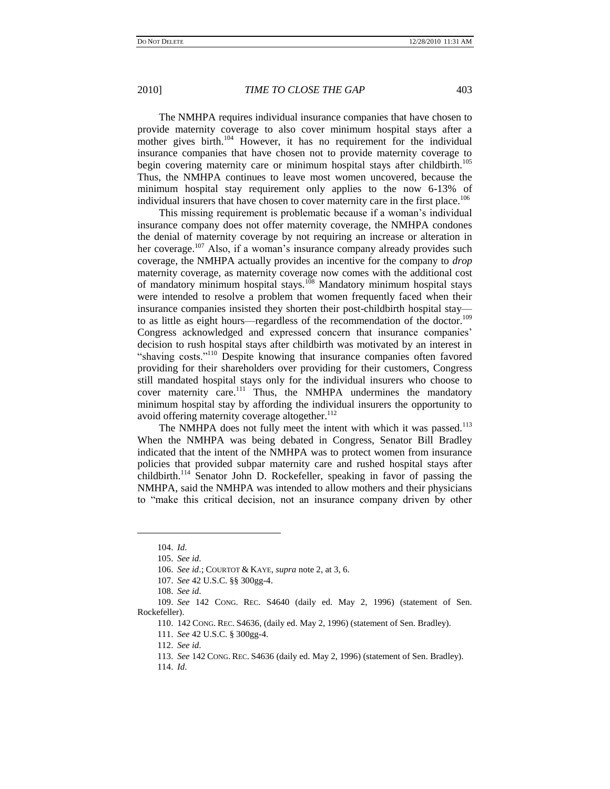The NMHPA requires individual insurance companies that have chosen to provide maternity coverage to also cover minimum hospital stays after a mother gives birth.<sup>104</sup> However, it has no requirement for the individual insurance companies that have chosen not to provide maternity coverage to begin covering maternity care or minimum hospital stays after childbirth.<sup>105</sup> Thus, the NMHPA continues to leave most women uncovered, because the minimum hospital stay requirement only applies to the now 6-13% of individual insurers that have chosen to cover maternity care in the first place.<sup>106</sup>

This missing requirement is problematic because if a woman"s individual insurance company does not offer maternity coverage, the NMHPA condones the denial of maternity coverage by not requiring an increase or alteration in her coverage.<sup>107</sup> Also, if a woman's insurance company already provides such coverage, the NMHPA actually provides an incentive for the company to *drop*  maternity coverage, as maternity coverage now comes with the additional cost of mandatory minimum hospital stays.<sup>108</sup> Mandatory minimum hospital stays were intended to resolve a problem that women frequently faced when their insurance companies insisted they shorten their post-childbirth hospital stay to as little as eight hours—regardless of the recommendation of the doctor.<sup>109</sup> Congress acknowledged and expressed concern that insurance companies' decision to rush hospital stays after childbirth was motivated by an interest in "shaving costs."<sup>110</sup> Despite knowing that insurance companies often favored providing for their shareholders over providing for their customers, Congress still mandated hospital stays only for the individual insurers who choose to cover maternity care.<sup>111</sup> Thus, the NMHPA undermines the mandatory minimum hospital stay by affording the individual insurers the opportunity to avoid offering maternity coverage altogether.<sup>112</sup>

The NMHPA does not fully meet the intent with which it was passed.<sup>113</sup> When the NMHPA was being debated in Congress, Senator Bill Bradley indicated that the intent of the NMHPA was to protect women from insurance policies that provided subpar maternity care and rushed hospital stays after childbirth.<sup>114</sup> Senator John D. Rockefeller, speaking in favor of passing the NMHPA, said the NMHPA was intended to allow mothers and their physicians to "make this critical decision, not an insurance company driven by other

<sup>104.</sup> *Id*.

<sup>105.</sup> *See id*.

<sup>106.</sup> *See id*.; COURTOT & KAYE, *supra* note 2, at 3, 6.

<sup>107.</sup> *See* 42 U.S.C. §§ 300gg-4.

<sup>108.</sup> *See id*.

<sup>109.</sup> *See* 142 CONG. REC. S4640 (daily ed. May 2, 1996) (statement of Sen. Rockefeller).

<sup>110.</sup> 142 CONG. REC. S4636, (daily ed. May 2, 1996) (statement of Sen. Bradley).

<sup>111.</sup> *See* 42 U.S.C. § 300gg-4.

<sup>112.</sup> *See id*.

<sup>113.</sup> *See* 142 CONG. REC. S4636 (daily ed. May 2, 1996) (statement of Sen. Bradley).

<sup>114.</sup> *Id*.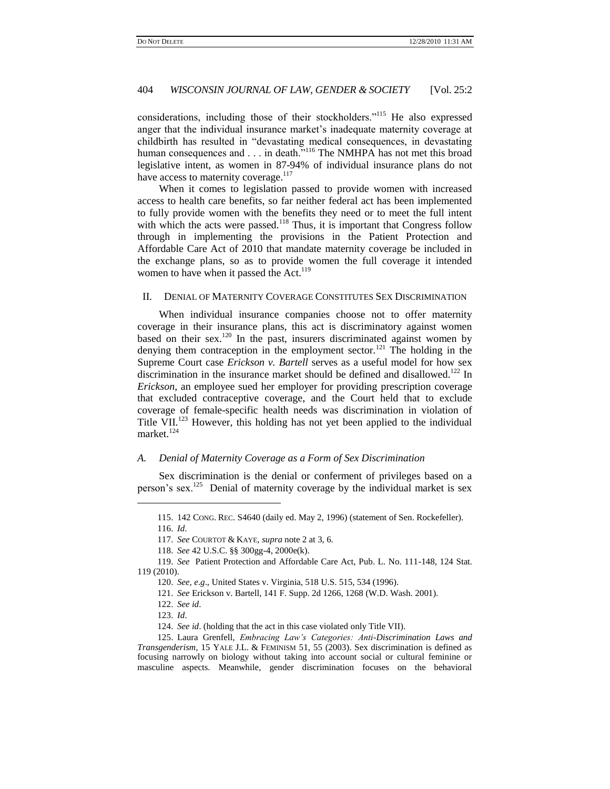considerations, including those of their stockholders."<sup>115</sup> He also expressed anger that the individual insurance market's inadequate maternity coverage at childbirth has resulted in "devastating medical consequences, in devastating human consequences and . . . in death.<sup>7116</sup> The NMHPA has not met this broad legislative intent, as women in 87-94% of individual insurance plans do not have access to maternity coverage.<sup>117</sup>

When it comes to legislation passed to provide women with increased access to health care benefits, so far neither federal act has been implemented to fully provide women with the benefits they need or to meet the full intent with which the acts were passed.<sup>118</sup> Thus, it is important that Congress follow through in implementing the provisions in the Patient Protection and Affordable Care Act of 2010 that mandate maternity coverage be included in the exchange plans, so as to provide women the full coverage it intended women to have when it passed the Act.<sup>119</sup>

#### II. DENIAL OF MATERNITY COVERAGE CONSTITUTES SEX DISCRIMINATION

When individual insurance companies choose not to offer maternity coverage in their insurance plans, this act is discriminatory against women based on their sex.<sup>120</sup> In the past, insurers discriminated against women by denying them contraception in the employment sector.<sup>121</sup> The holding in the Supreme Court case *Erickson v. Bartell* serves as a useful model for how sex discrimination in the insurance market should be defined and disallowed.<sup>122</sup> In *Erickson*, an employee sued her employer for providing prescription coverage that excluded contraceptive coverage, and the Court held that to exclude coverage of female-specific health needs was discrimination in violation of Title VII.<sup>123</sup> However, this holding has not yet been applied to the individual market.<sup>124</sup>

#### *A. Denial of Maternity Coverage as a Form of Sex Discrimination*

Sex discrimination is the denial or conferment of privileges based on a person's sex.<sup>125</sup> Denial of maternity coverage by the individual market is sex

<sup>115.</sup> 142 CONG. REC. S4640 (daily ed. May 2, 1996) (statement of Sen. Rockefeller).

<sup>116.</sup> *Id*.

<sup>117.</sup> *See* COURTOT & KAYE, *supra* note 2 at 3, 6.

<sup>118.</sup> *See* 42 U.S.C. §§ 300gg-4, 2000e(k).

<sup>119.</sup> *See* Patient Protection and Affordable Care Act, Pub. L. No. 111-148, 124 Stat. 119 (2010).

<sup>120.</sup> *See, e*.*g*., United States v. Virginia, 518 U.S. 515, 534 (1996).

<sup>121.</sup> *See* Erickson v. Bartell, 141 F. Supp. 2d 1266, 1268 (W.D. Wash. 2001).

<sup>122.</sup> *See id*.

<sup>123.</sup> *Id*.

<sup>124.</sup> *See id*. (holding that the act in this case violated only Title VII).

<sup>125.</sup> Laura Grenfell, *Embracing Law"s Categories: Anti-Discrimination Laws and Transgenderism*, 15 YALE J.L. & FEMINISM 51, 55 (2003). Sex discrimination is defined as focusing narrowly on biology without taking into account social or cultural feminine or masculine aspects. Meanwhile, gender discrimination focuses on the behavioral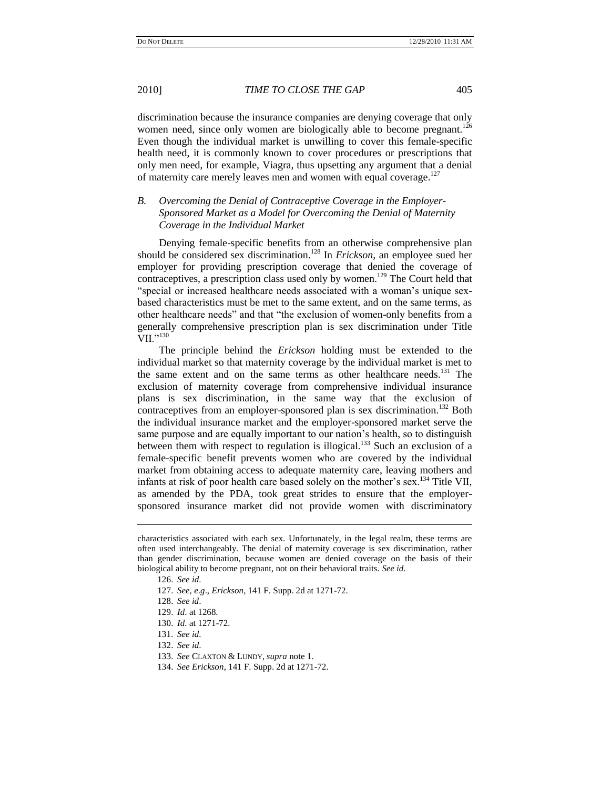discrimination because the insurance companies are denying coverage that only women need, since only women are biologically able to become pregnant.<sup>126</sup> Even though the individual market is unwilling to cover this female-specific health need, it is commonly known to cover procedures or prescriptions that only men need, for example, Viagra, thus upsetting any argument that a denial of maternity care merely leaves men and women with equal coverage.<sup>127</sup>

# *B. Overcoming the Denial of Contraceptive Coverage in the Employer-Sponsored Market as a Model for Overcoming the Denial of Maternity Coverage in the Individual Market*

Denying female-specific benefits from an otherwise comprehensive plan should be considered sex discrimination.<sup>128</sup> In *Erickson*, an employee sued her employer for providing prescription coverage that denied the coverage of contraceptives, a prescription class used only by women.<sup>129</sup> The Court held that "special or increased healthcare needs associated with a woman"s unique sexbased characteristics must be met to the same extent, and on the same terms, as other healthcare needs" and that "the exclusion of women-only benefits from a generally comprehensive prescription plan is sex discrimination under Title VII."<sup>130</sup>

The principle behind the *Erickson* holding must be extended to the individual market so that maternity coverage by the individual market is met to the same extent and on the same terms as other healthcare needs.<sup>131</sup> The exclusion of maternity coverage from comprehensive individual insurance plans is sex discrimination, in the same way that the exclusion of contraceptives from an employer-sponsored plan is sex discrimination.<sup>132</sup> Both the individual insurance market and the employer-sponsored market serve the same purpose and are equally important to our nation"s health, so to distinguish between them with respect to regulation is illogical.<sup>133</sup> Such an exclusion of a female-specific benefit prevents women who are covered by the individual market from obtaining access to adequate maternity care, leaving mothers and infants at risk of poor health care based solely on the mother's sex.<sup>134</sup> Title VII, as amended by the PDA, took great strides to ensure that the employersponsored insurance market did not provide women with discriminatory

characteristics associated with each sex. Unfortunately, in the legal realm, these terms are often used interchangeably. The denial of maternity coverage is sex discrimination, rather than gender discrimination, because women are denied coverage on the basis of their biological ability to become pregnant, not on their behavioral traits. *See id*.

<sup>126.</sup> *See id*.

<sup>127.</sup> *See, e*.*g*., *Erickson*, 141 F. Supp. 2d at 1271-72.

<sup>128.</sup> *See id*.

<sup>129.</sup> *Id*. at 1268.

<sup>130.</sup> *Id*. at 1271-72.

<sup>131.</sup> *See id*.

<sup>132.</sup> *See id*.

<sup>133.</sup> *See* CLAXTON & LUNDY, *supra* note 1.

<sup>134.</sup> *See Erickson*, 141 F. Supp. 2d at 1271-72.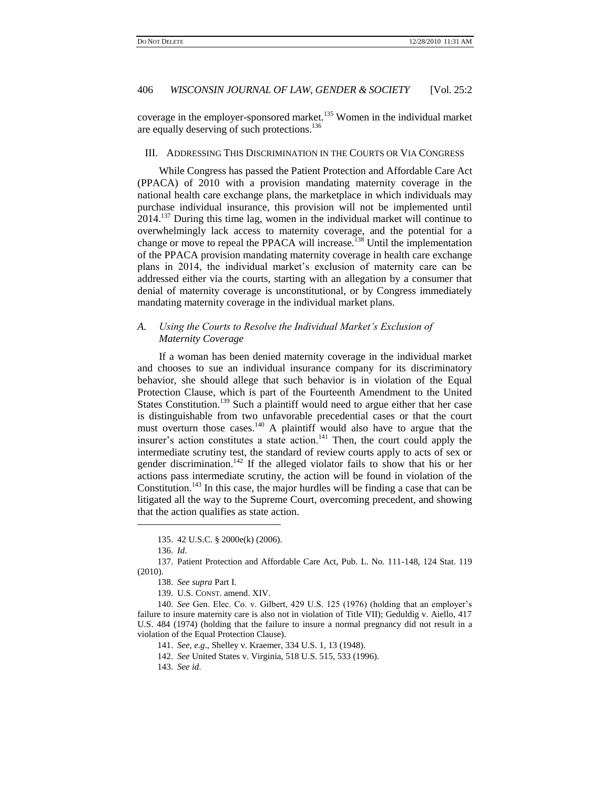coverage in the employer-sponsored market.<sup>135</sup> Women in the individual market are equally deserving of such protections.<sup>136</sup>

# III. ADDRESSING THIS DISCRIMINATION IN THE COURTS OR VIA CONGRESS

While Congress has passed the Patient Protection and Affordable Care Act (PPACA) of 2010 with a provision mandating maternity coverage in the national health care exchange plans, the marketplace in which individuals may purchase individual insurance, this provision will not be implemented until 2014.<sup>137</sup> During this time lag, women in the individual market will continue to overwhelmingly lack access to maternity coverage, and the potential for a change or move to repeal the PPACA will increase.<sup>138</sup> Until the implementation of the PPACA provision mandating maternity coverage in health care exchange plans in 2014, the individual market"s exclusion of maternity care can be addressed either via the courts, starting with an allegation by a consumer that denial of maternity coverage is unconstitutional, or by Congress immediately mandating maternity coverage in the individual market plans.

# *A. Using the Courts to Resolve the Individual Market"s Exclusion of Maternity Coverage*

If a woman has been denied maternity coverage in the individual market and chooses to sue an individual insurance company for its discriminatory behavior, she should allege that such behavior is in violation of the Equal Protection Clause, which is part of the Fourteenth Amendment to the United States Constitution.<sup>139</sup> Such a plaintiff would need to argue either that her case is distinguishable from two unfavorable precedential cases or that the court must overturn those cases.<sup>140</sup> A plaintiff would also have to argue that the insurer's action constitutes a state action. $141$  Then, the court could apply the intermediate scrutiny test, the standard of review courts apply to acts of sex or gender discrimination.<sup>142</sup> If the alleged violator fails to show that his or her actions pass intermediate scrutiny, the action will be found in violation of the Constitution.<sup>143</sup> In this case, the major hurdles will be finding a case that can be litigated all the way to the Supreme Court, overcoming precedent, and showing that the action qualifies as state action.

<sup>135.</sup> 42 U.S.C. § 2000e(k) (2006).

<sup>136.</sup> *Id*.

<sup>137.</sup> Patient Protection and Affordable Care Act, Pub. L. No. 111-148, 124 Stat. 119 (2010).

<sup>138.</sup> *See supra* Part I.

<sup>139.</sup> U.S. CONST. amend. XIV.

<sup>140.</sup> *See* Gen. Elec. Co. v. Gilbert, 429 U.S. 125 (1976) (holding that an employer"s failure to insure maternity care is also not in violation of Title VII); Geduldig v. Aiello, 417 U.S. 484 (1974) (holding that the failure to insure a normal pregnancy did not result in a violation of the Equal Protection Clause).

<sup>141.</sup> *See, e*.*g*., Shelley v. Kraemer, 334 U.S. 1, 13 (1948).

<sup>142.</sup> *See* United States v. Virginia, 518 U.S. 515, 533 (1996).

<sup>143.</sup> *See id*.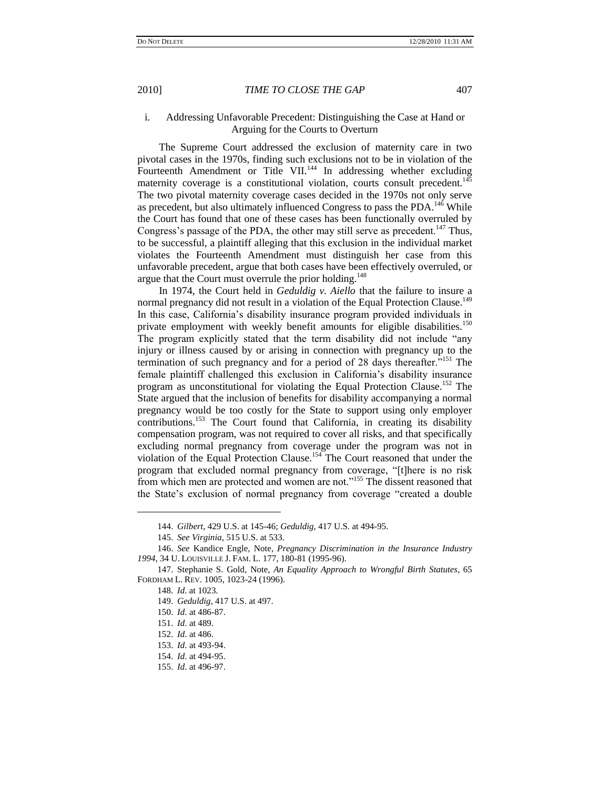## i. Addressing Unfavorable Precedent: Distinguishing the Case at Hand or Arguing for the Courts to Overturn

The Supreme Court addressed the exclusion of maternity care in two pivotal cases in the 1970s, finding such exclusions not to be in violation of the Fourteenth Amendment or Title VII.<sup>144</sup> In addressing whether excluding maternity coverage is a constitutional violation, courts consult precedent.<sup>145</sup> The two pivotal maternity coverage cases decided in the 1970s not only serve as precedent, but also ultimately influenced Congress to pass the PDA.<sup>146</sup> While the Court has found that one of these cases has been functionally overruled by Congress's passage of the PDA, the other may still serve as precedent.<sup>147</sup> Thus, to be successful, a plaintiff alleging that this exclusion in the individual market violates the Fourteenth Amendment must distinguish her case from this unfavorable precedent, argue that both cases have been effectively overruled, or argue that the Court must overrule the prior holding.<sup>148</sup>

In 1974, the Court held in *Geduldig v. Aiello* that the failure to insure a normal pregnancy did not result in a violation of the Equal Protection Clause.<sup>149</sup> In this case, California"s disability insurance program provided individuals in private employment with weekly benefit amounts for eligible disabilities.<sup>150</sup> The program explicitly stated that the term disability did not include "any injury or illness caused by or arising in connection with pregnancy up to the termination of such pregnancy and for a period of 28 days thereafter."<sup>151</sup> The female plaintiff challenged this exclusion in California"s disability insurance program as unconstitutional for violating the Equal Protection Clause.<sup>152</sup> The State argued that the inclusion of benefits for disability accompanying a normal pregnancy would be too costly for the State to support using only employer contributions.<sup>153</sup> The Court found that California, in creating its disability compensation program, was not required to cover all risks, and that specifically excluding normal pregnancy from coverage under the program was not in violation of the Equal Protection Clause.<sup>154</sup> The Court reasoned that under the program that excluded normal pregnancy from coverage, "[t]here is no risk from which men are protected and women are not."<sup>155</sup> The dissent reasoned that the State"s exclusion of normal pregnancy from coverage "created a double

<sup>144.</sup> *Gilbert*, 429 U.S. at 145-46; *Geduldig*, 417 U.S. at 494-95.

<sup>145.</sup> *See Virginia*, 515 U.S. at 533.

<sup>146.</sup> *See* Kandice Engle, Note, *Pregnancy Discrimination in the Insurance Industry 1994*, 34 U. LOUISVILLE J. FAM. L. 177, 180-81 (1995-96).

<sup>147.</sup> Stephanie S. Gold, Note, *An Equality Approach to Wrongful Birth Statutes*, 65 FORDHAM L. REV. 1005, 1023-24 (1996).

<sup>148.</sup> *Id*. at 1023.

<sup>149.</sup> *Geduldig*, 417 U.S. at 497.

<sup>150.</sup> *Id*. at 486-87.

<sup>151.</sup> *Id*. at 489.

<sup>152.</sup> *Id*. at 486.

<sup>153.</sup> *Id*. at 493-94.

<sup>154.</sup> *Id*. at 494-95.

<sup>155.</sup> *Id*. at 496-97.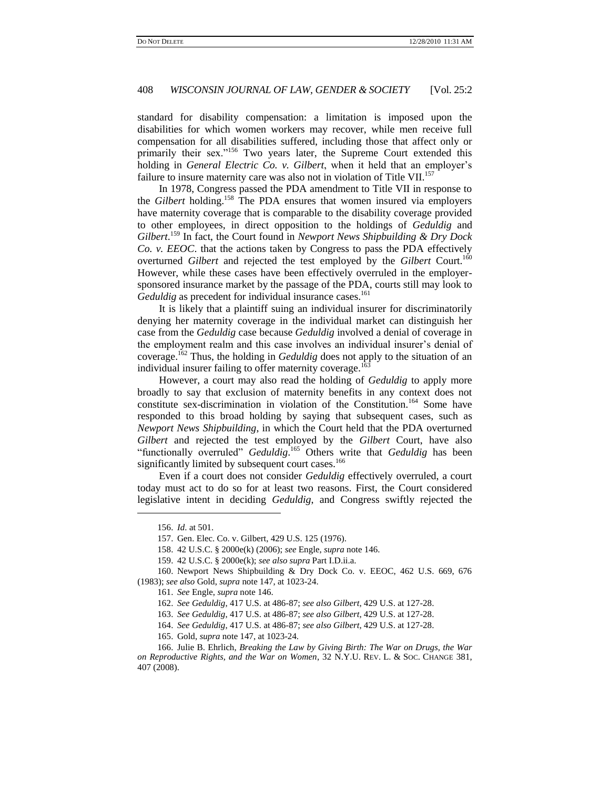standard for disability compensation: a limitation is imposed upon the disabilities for which women workers may recover, while men receive full compensation for all disabilities suffered, including those that affect only or primarily their sex."<sup>156</sup> Two years later, the Supreme Court extended this holding in *General Electric Co. v. Gilbert*, when it held that an employer's failure to insure maternity care was also not in violation of Title VII.<sup>157</sup>

In 1978, Congress passed the PDA amendment to Title VII in response to the *Gilbert* holding.<sup>158</sup> The PDA ensures that women insured via employers have maternity coverage that is comparable to the disability coverage provided to other employees, in direct opposition to the holdings of *Geduldig* and *Gilbert*. <sup>159</sup> In fact, the Court found in *Newport News Shipbuilding & Dry Dock Co. v. EEOC*. that the actions taken by Congress to pass the PDA effectively overturned *Gilbert* and rejected the test employed by the *Gilbert* Court.<sup>160</sup> However, while these cases have been effectively overruled in the employersponsored insurance market by the passage of the PDA, courts still may look to Geduldig as precedent for individual insurance cases.<sup>161</sup>

It is likely that a plaintiff suing an individual insurer for discriminatorily denying her maternity coverage in the individual market can distinguish her case from the *Geduldig* case because *Geduldig* involved a denial of coverage in the employment realm and this case involves an individual insurer's denial of coverage.<sup>162</sup> Thus, the holding in *Geduldig* does not apply to the situation of an individual insurer failing to offer maternity coverage.<sup>16</sup>

However, a court may also read the holding of *Geduldig* to apply more broadly to say that exclusion of maternity benefits in any context does not constitute sex-discrimination in violation of the Constitution.<sup>164</sup> Some have responded to this broad holding by saying that subsequent cases, such as *Newport News Shipbuilding*, in which the Court held that the PDA overturned *Gilbert* and rejected the test employed by the *Gilbert* Court, have also "functionally overruled" *Geduldig*. <sup>165</sup> Others write that *Geduldig* has been significantly limited by subsequent court cases.<sup>166</sup>

Even if a court does not consider *Geduldig* effectively overruled, a court today must act to do so for at least two reasons. First, the Court considered legislative intent in deciding *Geduldig*, and Congress swiftly rejected the

<sup>156.</sup> *Id*. at 501.

<sup>157.</sup> Gen. Elec. Co. v. Gilbert, 429 U.S. 125 (1976).

<sup>158.</sup> 42 U.S.C. § 2000e(k) (2006); *see* Engle, *supra* note 146.

<sup>159.</sup> 42 U.S.C. § 2000e(k); *see also supra* Part I.D.ii.a.

<sup>160.</sup> Newport News Shipbuilding & Dry Dock Co. v. EEOC, 462 U.S. 669, 676 (1983); *see also* Gold, *supra* note 147, at 1023-24.

<sup>161.</sup> *See* Engle, *supra* note 146.

<sup>162.</sup> *See Geduldig*, 417 U.S. at 486-87; *see also Gilbert*, 429 U.S. at 127-28.

<sup>163.</sup> *See Geduldig*, 417 U.S. at 486-87; *see also Gilbert*, 429 U.S. at 127-28.

<sup>164.</sup> *See Geduldig*, 417 U.S. at 486-87; *see also Gilbert*, 429 U.S. at 127-28.

<sup>165.</sup> Gold, *supra* note 147, at 1023-24.

<sup>166.</sup> Julie B. Ehrlich, *Breaking the Law by Giving Birth: The War on Drugs, the War on Reproductive Rights, and the War on Women*, 32 N.Y.U. REV. L. & SOC. CHANGE 381, 407 (2008).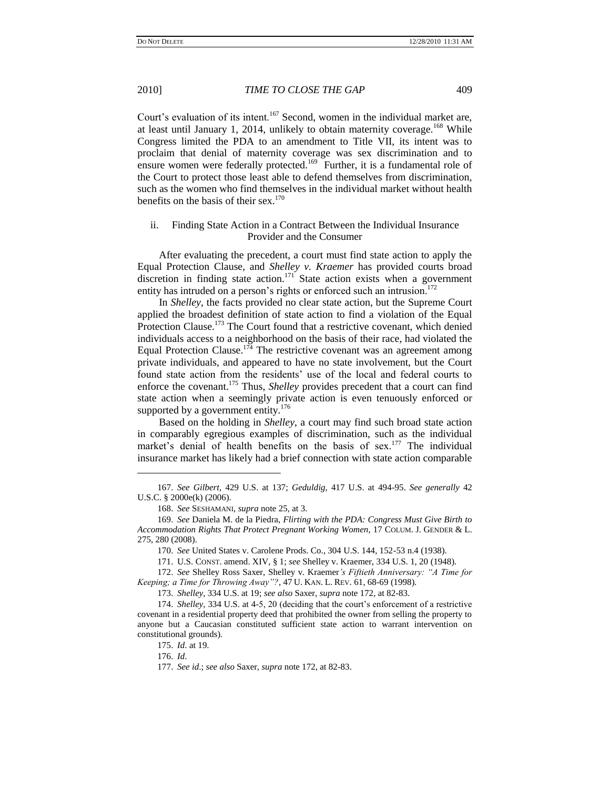Court's evaluation of its intent.<sup>167</sup> Second, women in the individual market are, at least until January 1, 2014, unlikely to obtain maternity coverage.<sup>168</sup> While Congress limited the PDA to an amendment to Title VII, its intent was to proclaim that denial of maternity coverage was sex discrimination and to ensure women were federally protected.<sup>169</sup> Further, it is a fundamental role of the Court to protect those least able to defend themselves from discrimination, such as the women who find themselves in the individual market without health benefits on the basis of their sex. $170$ 

## ii. Finding State Action in a Contract Between the Individual Insurance Provider and the Consumer

After evaluating the precedent, a court must find state action to apply the Equal Protection Clause, and *Shelley v. Kraemer* has provided courts broad discretion in finding state action.<sup>171</sup> State action exists when a government entity has intruded on a person's rights or enforced such an intrusion.<sup>172</sup>

In *Shelley*, the facts provided no clear state action, but the Supreme Court applied the broadest definition of state action to find a violation of the Equal Protection Clause.<sup>173</sup> The Court found that a restrictive covenant, which denied individuals access to a neighborhood on the basis of their race, had violated the Equal Protection Clause.<sup>174</sup> The restrictive covenant was an agreement among private individuals, and appeared to have no state involvement, but the Court found state action from the residents' use of the local and federal courts to enforce the covenant.<sup>175</sup> Thus, *Shelley* provides precedent that a court can find state action when a seemingly private action is even tenuously enforced or supported by a government entity. $176$ 

Based on the holding in *Shelley*, a court may find such broad state action in comparably egregious examples of discrimination, such as the individual market's denial of health benefits on the basis of sex.<sup>177</sup> The individual insurance market has likely had a brief connection with state action comparable

175. *Id*. at 19.

176. *Id*.

<sup>167.</sup> *See Gilbert*, 429 U.S. at 137; *Geduldig*, 417 U.S. at 494-95. *See generally* 42 U.S.C. § 2000e(k) (2006).

<sup>168.</sup> *See* SESHAMANI, *supra* note 25, at 3.

<sup>169.</sup> *See* Daniela M. de la Piedra, *Flirting with the PDA: Congress Must Give Birth to Accommodation Rights That Protect Pregnant Working Women*, 17 COLUM. J. GENDER & L. 275, 280 (2008).

<sup>170.</sup> *See* United States v. Carolene Prods. Co., 304 U.S. 144, 152-53 n.4 (1938).

<sup>171.</sup> U.S. CONST. amend. XIV, § 1; *see* Shelley v. Kraemer, 334 U.S. 1, 20 (1948).

<sup>172.</sup> *See* Shelley Ross Saxer, Shelley v. Kraemer*"s Fiftieth Anniversary: "A Time for Keeping; a Time for Throwing Away"?*, 47 U. KAN. L. REV. 61, 68-69 (1998).

<sup>173.</sup> *Shelley*, 334 U.S. at 19; *see also* Saxer, *supra* note 172, at 82-83.

<sup>174.</sup> *Shelley*, 334 U.S. at 4-5, 20 (deciding that the court"s enforcement of a restrictive covenant in a residential property deed that prohibited the owner from selling the property to anyone but a Caucasian constituted sufficient state action to warrant intervention on constitutional grounds).

<sup>177.</sup> *See id*.; *see also* Saxer, *supra* note 172, at 82-83.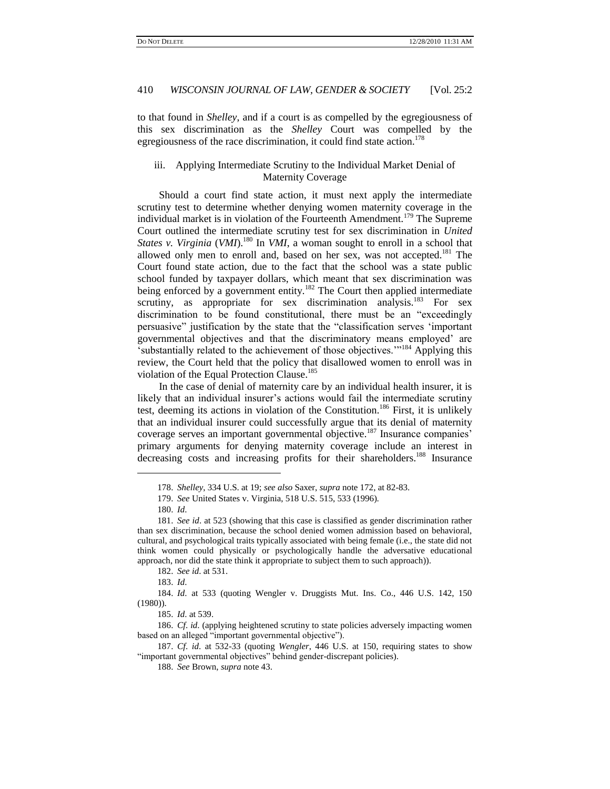to that found in *Shelley*, and if a court is as compelled by the egregiousness of this sex discrimination as the *Shelley* Court was compelled by the egregiousness of the race discrimination, it could find state action.<sup>178</sup>

# iii. Applying Intermediate Scrutiny to the Individual Market Denial of Maternity Coverage

Should a court find state action, it must next apply the intermediate scrutiny test to determine whether denying women maternity coverage in the individual market is in violation of the Fourteenth Amendment.<sup>179</sup> The Supreme Court outlined the intermediate scrutiny test for sex discrimination in *United States v. Virginia* (*VMI*).<sup>180</sup> In *VMI*, a woman sought to enroll in a school that allowed only men to enroll and, based on her sex, was not accepted.<sup>181</sup> The Court found state action, due to the fact that the school was a state public school funded by taxpayer dollars, which meant that sex discrimination was being enforced by a government entity.<sup>182</sup> The Court then applied intermediate scrutiny, as appropriate for sex discrimination analysis.<sup>183</sup> For sex discrimination to be found constitutional, there must be an "exceedingly persuasive" justification by the state that the "classification serves "important governmental objectives and that the discriminatory means employed" are 'substantially related to the achievement of those objectives."<sup>184</sup> Applying this review, the Court held that the policy that disallowed women to enroll was in violation of the Equal Protection Clause.<sup>185</sup>

In the case of denial of maternity care by an individual health insurer, it is likely that an individual insurer's actions would fail the intermediate scrutiny test, deeming its actions in violation of the Constitution.<sup>186</sup> First, it is unlikely that an individual insurer could successfully argue that its denial of maternity coverage serves an important governmental objective.<sup>187</sup> Insurance companies' primary arguments for denying maternity coverage include an interest in decreasing costs and increasing profits for their shareholders.<sup>188</sup> Insurance

<sup>178.</sup> *Shelley*, 334 U.S. at 19; *see also* Saxer, *supra* note 172, at 82-83.

<sup>179.</sup> *See* United States v. Virginia, 518 U.S. 515, 533 (1996).

<sup>180.</sup> *Id*.

<sup>181.</sup> *See id*. at 523 (showing that this case is classified as gender discrimination rather than sex discrimination, because the school denied women admission based on behavioral, cultural, and psychological traits typically associated with being female (i.e., the state did not think women could physically or psychologically handle the adversative educational approach, nor did the state think it appropriate to subject them to such approach)).

<sup>182.</sup> *See id*. at 531.

<sup>183.</sup> *Id*.

<sup>184.</sup> *Id*. at 533 (quoting Wengler v. Druggists Mut. Ins. Co., 446 U.S. 142, 150 (1980)).

<sup>185.</sup> *Id*. at 539.

<sup>186.</sup> *Cf*. *id*. (applying heightened scrutiny to state policies adversely impacting women based on an alleged "important governmental objective").

<sup>187.</sup> *Cf*. *id*. at 532-33 (quoting *Wengler*, 446 U.S. at 150, requiring states to show "important governmental objectives" behind gender-discrepant policies).

<sup>188.</sup> *See* Brown, *supra* note 43.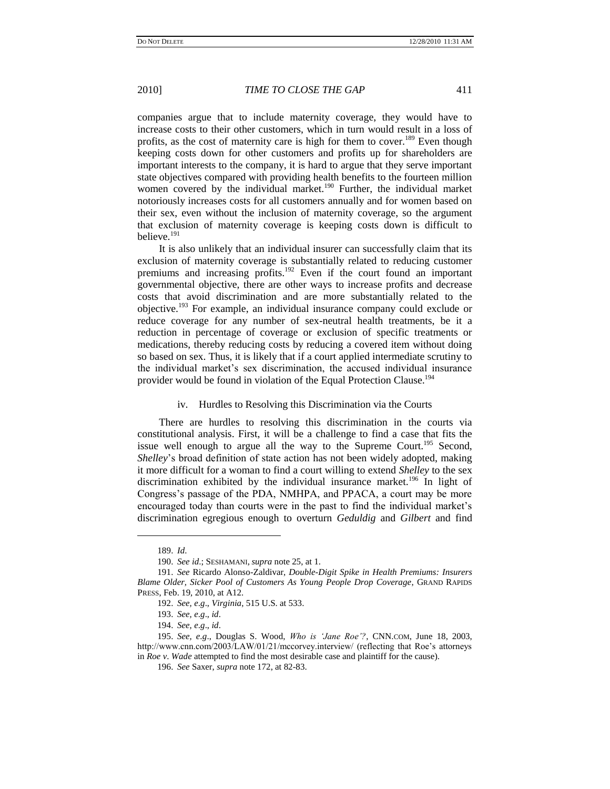companies argue that to include maternity coverage, they would have to increase costs to their other customers, which in turn would result in a loss of profits, as the cost of maternity care is high for them to cover.<sup>189</sup> Even though keeping costs down for other customers and profits up for shareholders are important interests to the company, it is hard to argue that they serve important state objectives compared with providing health benefits to the fourteen million women covered by the individual market.<sup>190</sup> Further, the individual market notoriously increases costs for all customers annually and for women based on their sex, even without the inclusion of maternity coverage, so the argument that exclusion of maternity coverage is keeping costs down is difficult to believe.<sup>191</sup>

It is also unlikely that an individual insurer can successfully claim that its exclusion of maternity coverage is substantially related to reducing customer premiums and increasing profits.<sup>192</sup> Even if the court found an important governmental objective, there are other ways to increase profits and decrease costs that avoid discrimination and are more substantially related to the objective.<sup>193</sup> For example, an individual insurance company could exclude or reduce coverage for any number of sex-neutral health treatments, be it a reduction in percentage of coverage or exclusion of specific treatments or medications, thereby reducing costs by reducing a covered item without doing so based on sex. Thus, it is likely that if a court applied intermediate scrutiny to the individual market"s sex discrimination, the accused individual insurance provider would be found in violation of the Equal Protection Clause.<sup>194</sup>

#### iv. Hurdles to Resolving this Discrimination via the Courts

There are hurdles to resolving this discrimination in the courts via constitutional analysis. First, it will be a challenge to find a case that fits the issue well enough to argue all the way to the Supreme Court.<sup>195</sup> Second, *Shelley*"s broad definition of state action has not been widely adopted, making it more difficult for a woman to find a court willing to extend *Shelley* to the sex discrimination exhibited by the individual insurance market.<sup>196</sup> In light of Congress"s passage of the PDA, NMHPA, and PPACA, a court may be more encouraged today than courts were in the past to find the individual market"s discrimination egregious enough to overturn *Geduldig* and *Gilbert* and find

<sup>189.</sup> *Id*.

<sup>190.</sup> *See id*.; SESHAMANI, *supra* note 25, at 1.

<sup>191.</sup> *See* Ricardo Alonso-Zaldivar, *Double-Digit Spike in Health Premiums: Insurers Blame Older, Sicker Pool of Customers As Young People Drop Coverage*, GRAND RAPIDS PRESS, Feb. 19, 2010, at A12.

<sup>192.</sup> *See, e*.*g*., *Virginia*, 515 U.S. at 533.

<sup>193.</sup> *See, e*.*g*., *id*.

<sup>194.</sup> *See, e*.*g*., *id*.

<sup>195.</sup> *See, e*.*g*., Douglas S. Wood, *Who is "Jane Roe"?*, CNN.COM, June 18, 2003, http://www.cnn.com/2003/LAW/01/21/mccorvey.interview/ (reflecting that Roe's attorneys in *Roe v*. *Wade* attempted to find the most desirable case and plaintiff for the cause).

<sup>196.</sup> *See* Saxer, *supra* note 172, at 82-83.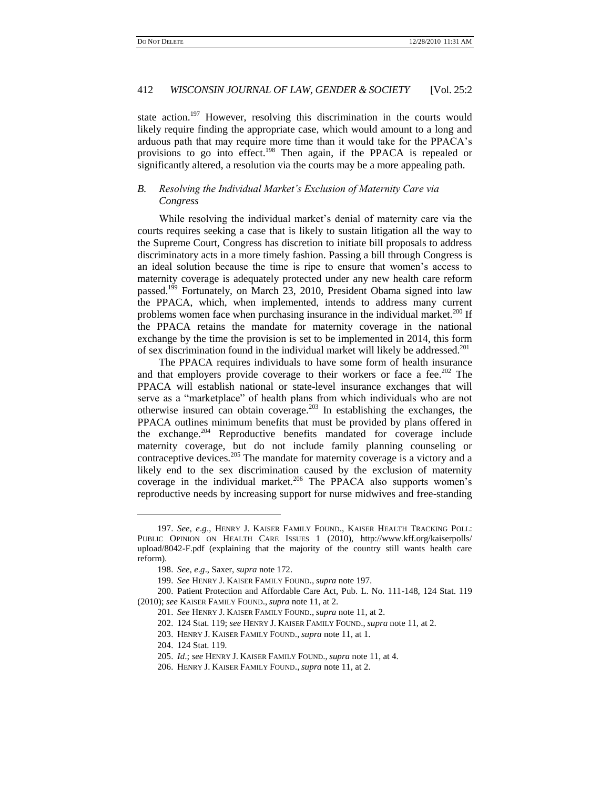state action.<sup>197</sup> However, resolving this discrimination in the courts would likely require finding the appropriate case, which would amount to a long and arduous path that may require more time than it would take for the PPACA"s provisions to go into effect.<sup>198</sup> Then again, if the PPACA is repealed or significantly altered, a resolution via the courts may be a more appealing path.

# *B. Resolving the Individual Market"s Exclusion of Maternity Care via Congress*

While resolving the individual market's denial of maternity care via the courts requires seeking a case that is likely to sustain litigation all the way to the Supreme Court, Congress has discretion to initiate bill proposals to address discriminatory acts in a more timely fashion. Passing a bill through Congress is an ideal solution because the time is ripe to ensure that women"s access to maternity coverage is adequately protected under any new health care reform passed.<sup>199</sup> Fortunately, on March 23, 2010, President Obama signed into law the PPACA, which, when implemented, intends to address many current problems women face when purchasing insurance in the individual market.<sup>200</sup> If the PPACA retains the mandate for maternity coverage in the national exchange by the time the provision is set to be implemented in 2014, this form of sex discrimination found in the individual market will likely be addressed.<sup>201</sup>

The PPACA requires individuals to have some form of health insurance and that employers provide coverage to their workers or face a fee.<sup>202</sup> The PPACA will establish national or state-level insurance exchanges that will serve as a "marketplace" of health plans from which individuals who are not otherwise insured can obtain coverage.<sup>203</sup> In establishing the exchanges, the PPACA outlines minimum benefits that must be provided by plans offered in the exchange.<sup>204</sup> Reproductive benefits mandated for coverage include maternity coverage, but do not include family planning counseling or contraceptive devices.<sup>205</sup> The mandate for maternity coverage is a victory and a likely end to the sex discrimination caused by the exclusion of maternity coverage in the individual market.<sup>206</sup> The PPACA also supports women's reproductive needs by increasing support for nurse midwives and free-standing

<sup>197.</sup> *See, e*.*g*., HENRY J. KAISER FAMILY FOUND., KAISER HEALTH TRACKING POLL: PUBLIC OPINION ON HEALTH CARE ISSUES 1 (2010), http://www.kff.org/kaiserpolls/ upload/8042-F.pdf (explaining that the majority of the country still wants health care reform).

<sup>198.</sup> *See, e*.*g*., Saxer, *supra* note 172.

<sup>199.</sup> *See* HENRY J. KAISER FAMILY FOUND., *supra* note 197.

<sup>200.</sup> Patient Protection and Affordable Care Act, Pub. L. No. 111-148, 124 Stat. 119 (2010); *see* KAISER FAMILY FOUND., *supra* note 11, at 2.

<sup>201.</sup> *See* HENRY J. KAISER FAMILY FOUND., *supra* note 11, at 2.

<sup>202.</sup> 124 Stat. 119; *see* HENRY J. KAISER FAMILY FOUND., *supra* note 11, at 2.

<sup>203.</sup> HENRY J. KAISER FAMILY FOUND., *supra* note 11, at 1.

<sup>204.</sup> 124 Stat. 119.

<sup>205.</sup> *Id*.; *see* HENRY J. KAISER FAMILY FOUND., *supra* note 11, at 4.

<sup>206.</sup> HENRY J. KAISER FAMILY FOUND., *supra* note 11, at 2.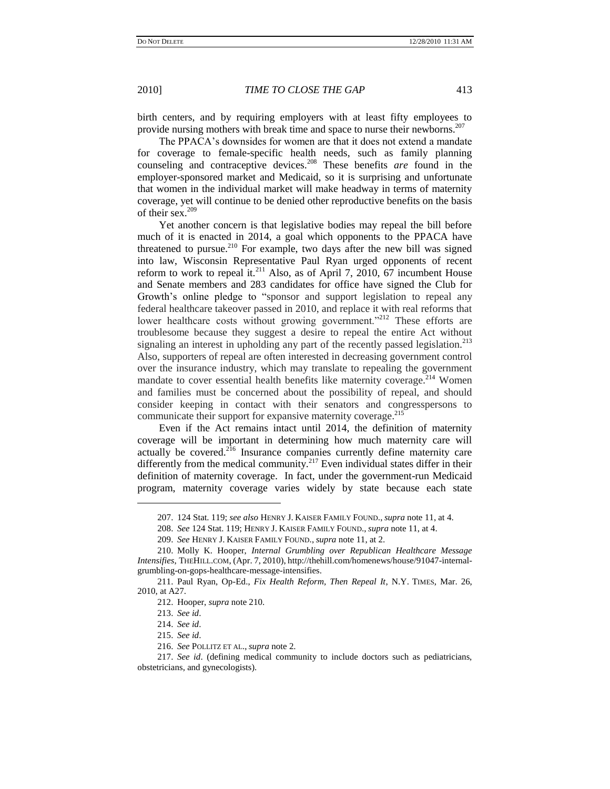birth centers, and by requiring employers with at least fifty employees to provide nursing mothers with break time and space to nurse their newborns.<sup>207</sup>

The PPACA"s downsides for women are that it does not extend a mandate for coverage to female-specific health needs, such as family planning counseling and contraceptive devices.<sup>208</sup> These benefits *are* found in the employer-sponsored market and Medicaid, so it is surprising and unfortunate that women in the individual market will make headway in terms of maternity coverage, yet will continue to be denied other reproductive benefits on the basis of their sex.<sup>209</sup>

Yet another concern is that legislative bodies may repeal the bill before much of it is enacted in 2014, a goal which opponents to the PPACA have threatened to pursue.<sup>210</sup> For example, two days after the new bill was signed into law, Wisconsin Representative Paul Ryan urged opponents of recent reform to work to repeal it.<sup>211</sup> Also, as of April 7, 2010, 67 incumbent House and Senate members and 283 candidates for office have signed the Club for Growth"s online pledge to "sponsor and support legislation to repeal any federal healthcare takeover passed in 2010, and replace it with real reforms that lower healthcare costs without growing government."<sup>212</sup> These efforts are troublesome because they suggest a desire to repeal the entire Act without signaling an interest in upholding any part of the recently passed legislation.<sup>213</sup> Also, supporters of repeal are often interested in decreasing government control over the insurance industry, which may translate to repealing the government mandate to cover essential health benefits like maternity coverage.<sup>214</sup> Women and families must be concerned about the possibility of repeal, and should consider keeping in contact with their senators and congresspersons to communicate their support for expansive maternity coverage.<sup>215</sup>

Even if the Act remains intact until 2014, the definition of maternity coverage will be important in determining how much maternity care will actually be covered.<sup>216</sup> Insurance companies currently define maternity care differently from the medical community.<sup>217</sup> Even individual states differ in their definition of maternity coverage. In fact, under the government-run Medicaid program, maternity coverage varies widely by state because each state

<sup>207.</sup> 124 Stat. 119; *see also* HENRY J. KAISER FAMILY FOUND., *supra* note 11, at 4.

<sup>208.</sup> *See* 124 Stat. 119; HENRY J. KAISER FAMILY FOUND., *supra* note 11, at 4.

<sup>209.</sup> *See* HENRY J. KAISER FAMILY FOUND., *supra* note 11, at 2.

<sup>210.</sup> Molly K. Hooper, *Internal Grumbling over Republican Healthcare Message Intensifies*, THEHILL.COM, (Apr. 7, 2010), http://thehill.com/homenews/house/91047-internalgrumbling-on-gops-healthcare-message-intensifies.

<sup>211.</sup> Paul Ryan, Op-Ed., *Fix Health Reform, Then Repeal It*, N.Y. TIMES, Mar. 26, 2010, at A27.

<sup>212.</sup> Hooper, *supra* note 210.

<sup>213.</sup> *See id*.

<sup>214.</sup> *See id*.

<sup>215.</sup> *See id*.

<sup>216.</sup> *See* POLLITZ ET AL., *supra* note 2.

<sup>217.</sup> *See id*. (defining medical community to include doctors such as pediatricians, obstetricians, and gynecologists).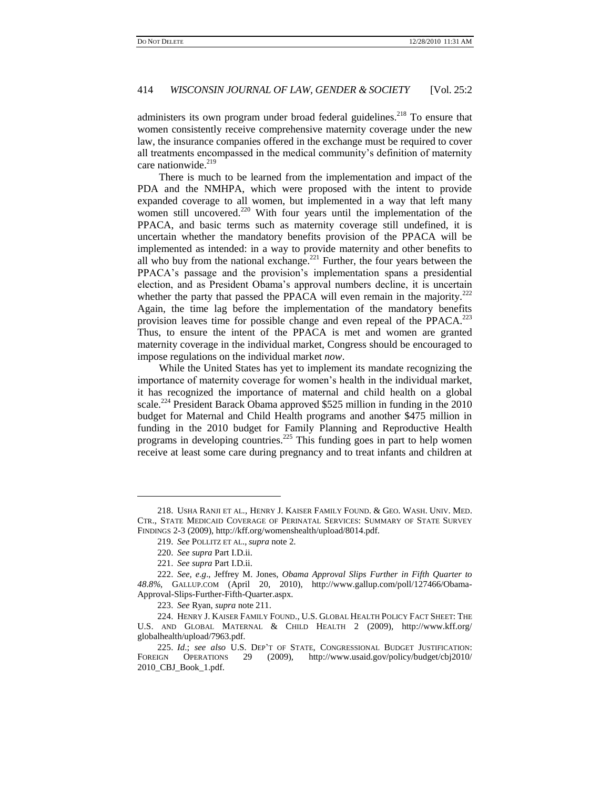administers its own program under broad federal guidelines.<sup>218</sup> To ensure that women consistently receive comprehensive maternity coverage under the new law, the insurance companies offered in the exchange must be required to cover all treatments encompassed in the medical community"s definition of maternity care nationwide.<sup>219</sup>

There is much to be learned from the implementation and impact of the PDA and the NMHPA, which were proposed with the intent to provide expanded coverage to all women, but implemented in a way that left many women still uncovered.<sup>220</sup> With four years until the implementation of the PPACA, and basic terms such as maternity coverage still undefined, it is uncertain whether the mandatory benefits provision of the PPACA will be implemented as intended: in a way to provide maternity and other benefits to all who buy from the national exchange.<sup>221</sup> Further, the four years between the PPACA"s passage and the provision"s implementation spans a presidential election, and as President Obama"s approval numbers decline, it is uncertain whether the party that passed the PPACA will even remain in the majority.<sup>222</sup> Again, the time lag before the implementation of the mandatory benefits provision leaves time for possible change and even repeal of the PPACA.<sup>223</sup> Thus, to ensure the intent of the PPACA is met and women are granted maternity coverage in the individual market, Congress should be encouraged to impose regulations on the individual market *now*.

While the United States has yet to implement its mandate recognizing the importance of maternity coverage for women"s health in the individual market, it has recognized the importance of maternal and child health on a global scale.<sup>224</sup> President Barack Obama approved \$525 million in funding in the 2010 budget for Maternal and Child Health programs and another \$475 million in funding in the 2010 budget for Family Planning and Reproductive Health programs in developing countries.<sup>225</sup> This funding goes in part to help women receive at least some care during pregnancy and to treat infants and children at

<sup>218.</sup> USHA RANJI ET AL., HENRY J. KAISER FAMILY FOUND. & GEO. WASH. UNIV. MED. CTR., STATE MEDICAID COVERAGE OF PERINATAL SERVICES: SUMMARY OF STATE SURVEY FINDINGS 2-3 (2009), http://kff.org/womenshealth/upload/8014.pdf.

<sup>219.</sup> *See* POLLITZ ET AL., *supra* note 2.

<sup>220.</sup> *See supra* Part I.D.ii.

<sup>221.</sup> *See supra* Part I.D.ii.

<sup>222.</sup> *See, e*.*g*., Jeffrey M. Jones, *Obama Approval Slips Further in Fifth Quarter to 48*.*8%*, GALLUP.COM (April 20, 2010), http://www.gallup.com/poll/127466/Obama-Approval-Slips-Further-Fifth-Quarter.aspx.

<sup>223.</sup> *See* Ryan, *supra* note 211.

<sup>224.</sup> HENRY J. KAISER FAMILY FOUND., U.S. GLOBAL HEALTH POLICY FACT SHEET: THE U.S. AND GLOBAL MATERNAL & CHILD HEALTH 2 (2009), http://www.kff.org/ globalhealth/upload/7963.pdf.

<sup>225.</sup> *Id*.; *see also* U.S. DEP"T OF STATE, CONGRESSIONAL BUDGET JUSTIFICATION: FOREIGN OPERATIONS 29 (2009), http://www.usaid.gov/policy/budget/cbj2010/ 2010\_CBJ\_Book\_1.pdf.